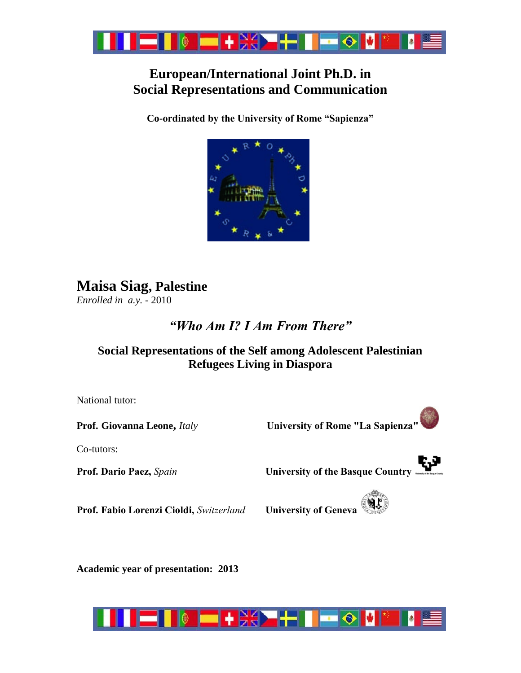

## **European/International Joint Ph.D. in Social Representations and Communication**

**Co-ordinated by the University of Rome "Sapienza"**



## **Maisa Siag, Palestine**

*Enrolled in a.y. -* 2010

## *"Who Am I? I Am From There"*

### **Social Representations of the Self among Adolescent Palestinian Refugees Living in Diaspora**

National tutor:

**Prof. Giovanna Leone,** *Italy* **University of Rome "La Sapienza"**

Co-tutors:



**Prof. Fabio Lorenzi Cioldi,** *Switzerland* **University of Geneva**

**Academic year of presentation: 2013**

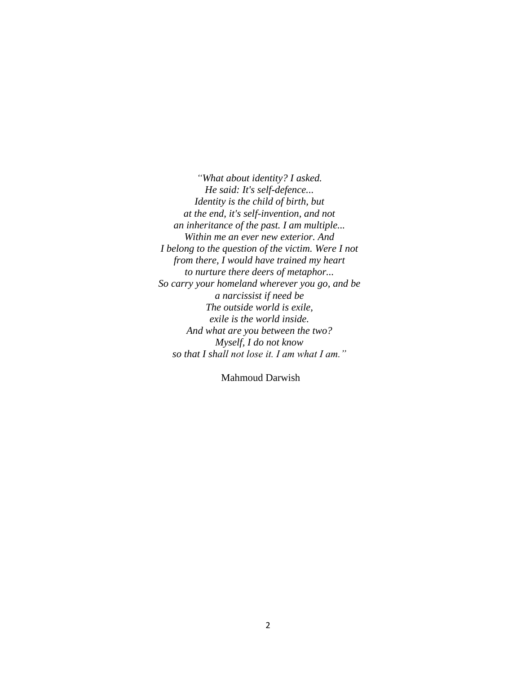*"What about identity? I asked. He said: It's self-defence... Identity is the child of birth, but at the end, it's self-invention, and not an inheritance of the past. I am multiple... Within me an ever new exterior. And I belong to the question of the victim. Were I not from there, I would have trained my heart to nurture there deers of metaphor... So carry your homeland wherever you go, and be a narcissist if need be The outside world is exile, exile is the world inside. And what are you between the two? Myself, I do not know so that I shall not lose it. I am what I am."* 

Mahmoud Darwish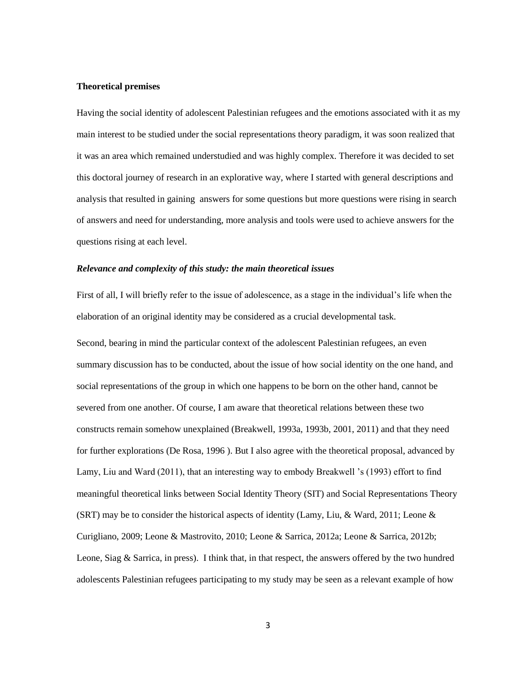#### **Theoretical premises**

Having the social identity of adolescent Palestinian refugees and the emotions associated with it as my main interest to be studied under the social representations theory paradigm, it was soon realized that it was an area which remained understudied and was highly complex. Therefore it was decided to set this doctoral journey of research in an explorative way, where I started with general descriptions and analysis that resulted in gaining answers for some questions but more questions were rising in search of answers and need for understanding, more analysis and tools were used to achieve answers for the questions rising at each level.

#### *Relevance and complexity of this study: the main theoretical issues*

First of all, I will briefly refer to the issue of adolescence, as a stage in the individual's life when the elaboration of an original identity may be considered as a crucial developmental task.

Second, bearing in mind the particular context of the adolescent Palestinian refugees, an even summary discussion has to be conducted, about the issue of how social identity on the one hand, and social representations of the group in which one happens to be born on the other hand, cannot be severed from one another. Of course, I am aware that theoretical relations between these two constructs remain somehow unexplained (Breakwell, 1993a, 1993b, 2001, 2011) and that they need for further explorations (De Rosa, 1996 ). But I also agree with the theoretical proposal, advanced by Lamy, Liu and Ward (2011), that an interesting way to embody Breakwell 's (1993) effort to find meaningful theoretical links between Social Identity Theory (SIT) and Social Representations Theory (SRT) may be to consider the historical aspects of identity (Lamy, Liu, & Ward, 2011; Leone & Curigliano, 2009; Leone & Mastrovito, 2010; Leone & Sarrica, 2012a; Leone & Sarrica, 2012b; Leone, Siag & Sarrica, in press). I think that, in that respect, the answers offered by the two hundred adolescents Palestinian refugees participating to my study may be seen as a relevant example of how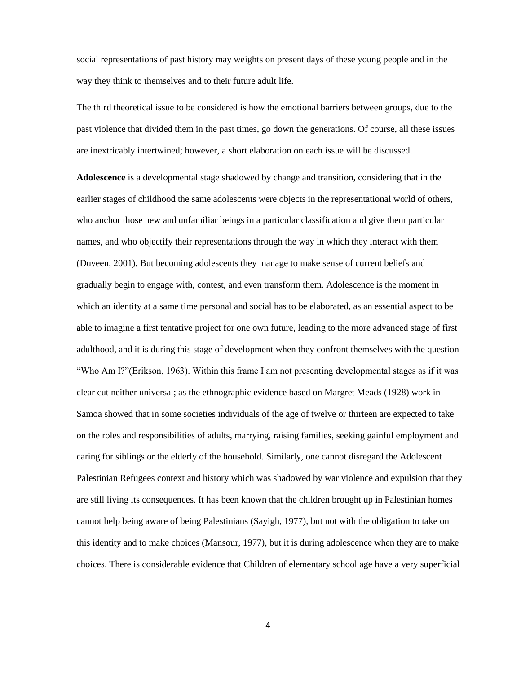social representations of past history may weights on present days of these young people and in the way they think to themselves and to their future adult life.

The third theoretical issue to be considered is how the emotional barriers between groups, due to the past violence that divided them in the past times, go down the generations. Of course, all these issues are inextricably intertwined; however, a short elaboration on each issue will be discussed.

**Adolescence** is a developmental stage shadowed by change and transition, considering that in the earlier stages of childhood the same adolescents were objects in the representational world of others, who anchor those new and unfamiliar beings in a particular classification and give them particular names, and who objectify their representations through the way in which they interact with them (Duveen, 2001). But becoming adolescents they manage to make sense of current beliefs and gradually begin to engage with, contest, and even transform them. Adolescence is the moment in which an identity at a same time personal and social has to be elaborated, as an essential aspect to be able to imagine a first tentative project for one own future, leading to the more advanced stage of first adulthood, and it is during this stage of development when they confront themselves with the question "Who Am I?"(Erikson, 1963). Within this frame I am not presenting developmental stages as if it was clear cut neither universal; as the ethnographic evidence based on Margret Meads (1928) work in Samoa showed that in some societies individuals of the age of twelve or thirteen are expected to take on the roles and responsibilities of adults, marrying, raising families, seeking gainful employment and caring for siblings or the elderly of the household. Similarly, one cannot disregard the Adolescent Palestinian Refugees context and history which was shadowed by war violence and expulsion that they are still living its consequences. It has been known that the children brought up in Palestinian homes cannot help being aware of being Palestinians (Sayigh, 1977), but not with the obligation to take on this identity and to make choices (Mansour, 1977), but it is during adolescence when they are to make choices. There is considerable evidence that Children of elementary school age have a very superficial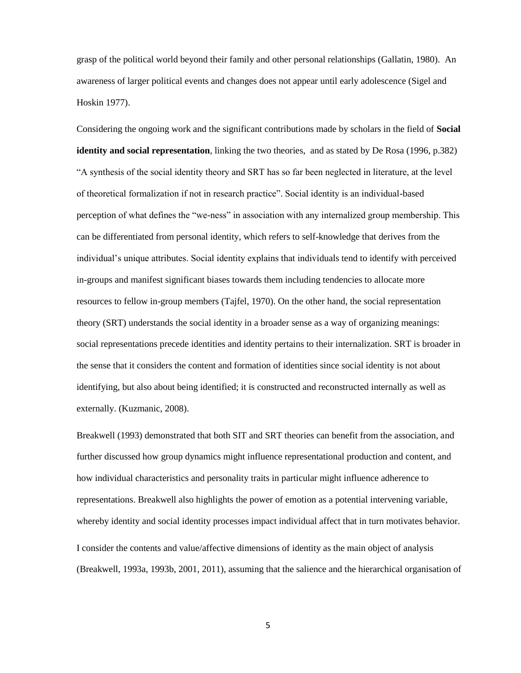grasp of the political world beyond their family and other personal relationships (Gallatin, 1980). An awareness of larger political events and changes does not appear until early adolescence (Sigel and Hoskin 1977).

Considering the ongoing work and the significant contributions made by scholars in the field of **Social identity and social representation**, linking the two theories, and as stated by De Rosa (1996, p.382) "A synthesis of the social identity theory and SRT has so far been neglected in literature, at the level of theoretical formalization if not in research practice". Social identity is an individual-based perception of what defines the "we-ness" in association with any internalized group membership. This can be differentiated from personal identity, which refers to self-knowledge that derives from the individual's unique attributes. Social identity explains that individuals tend to identify with perceived in-groups and manifest significant biases towards them including tendencies to allocate more resources to fellow in-group members (Tajfel, 1970). On the other hand, the social representation theory (SRT) understands the social identity in a broader sense as a way of organizing meanings: social representations precede identities and identity pertains to their internalization. SRT is broader in the sense that it considers the content and formation of identities since social identity is not about identifying, but also about being identified; it is constructed and reconstructed internally as well as externally. (Kuzmanic, 2008).

Breakwell (1993) demonstrated that both SIT and SRT theories can benefit from the association, and further discussed how group dynamics might influence representational production and content, and how individual characteristics and personality traits in particular might influence adherence to representations. Breakwell also highlights the power of emotion as a potential intervening variable, whereby identity and social identity processes impact individual affect that in turn motivates behavior. I consider the contents and value/affective dimensions of identity as the main object of analysis (Breakwell, 1993a, 1993b, 2001, 2011), assuming that the salience and the hierarchical organisation of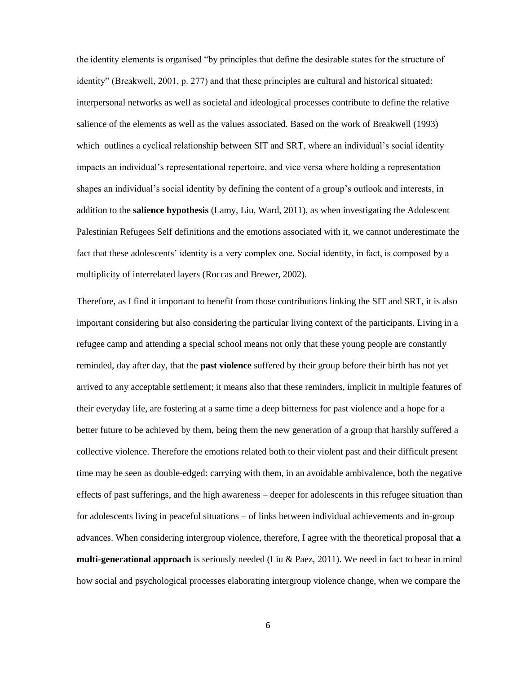the identity elements is organised "by principles that define the desirable states for the structure of identity" (Breakwell, 2001, p. 277) and that these principles are cultural and historical situated: interpersonal networks as well as societal and ideological processes contribute to define the relative salience of the elements as well as the values associated. Based on the work of Breakwell (1993) which outlines a cyclical relationship between SIT and SRT, where an individual's social identity impacts an individual's representational repertoire, and vice versa where holding a representation shapes an individual's social identity by defining the content of a group's outlook and interests, in addition to the **salience hypothesis** (Lamy, Liu, Ward, 2011), as when investigating the Adolescent Palestinian Refugees Self definitions and the emotions associated with it, we cannot underestimate the fact that these adolescents' identity is a very complex one. Social identity, in fact, is composed by a multiplicity of interrelated layers (Roccas and Brewer, 2002).

Therefore, as I find it important to benefit from those contributions linking the SIT and SRT, it is also important considering but also considering the particular living context of the participants. Living in a refugee camp and attending a special school means not only that these young people are constantly reminded, day after day, that the **past violence** suffered by their group before their birth has not yet arrived to any acceptable settlement; it means also that these reminders, implicit in multiple features of their everyday life, are fostering at a same time a deep bitterness for past violence and a hope for a better future to be achieved by them, being them the new generation of a group that harshly suffered a collective violence. Therefore the emotions related both to their violent past and their difficult present time may be seen as double-edged: carrying with them, in an avoidable ambivalence, both the negative effects of past sufferings, and the high awareness – deeper for adolescents in this refugee situation than for adolescents living in peaceful situations – of links between individual achievements and in-group advances. When considering intergroup violence, therefore, I agree with the theoretical proposal that **a multi-generational approach** is seriously needed (Liu & Paez, 2011). We need in fact to bear in mind how social and psychological processes elaborating intergroup violence change, when we compare the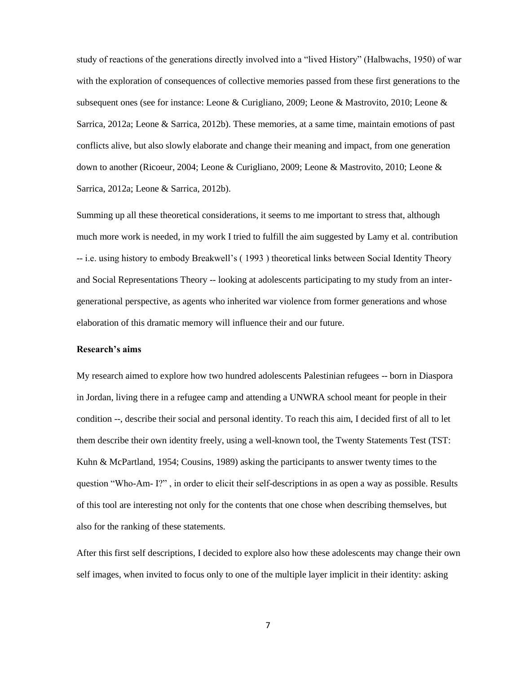study of reactions of the generations directly involved into a "lived History" (Halbwachs, 1950) of war with the exploration of consequences of collective memories passed from these first generations to the subsequent ones (see for instance: Leone & Curigliano, 2009; Leone & Mastrovito, 2010; Leone & Sarrica, 2012a; Leone & Sarrica, 2012b). These memories, at a same time, maintain emotions of past conflicts alive, but also slowly elaborate and change their meaning and impact, from one generation down to another (Ricoeur, 2004; Leone & Curigliano, 2009; Leone & Mastrovito, 2010; Leone & Sarrica, 2012a; Leone & Sarrica, 2012b).

Summing up all these theoretical considerations, it seems to me important to stress that, although much more work is needed, in my work I tried to fulfill the aim suggested by Lamy et al. contribution -- i.e. using history to embody Breakwell's ( 1993 ) theoretical links between Social Identity Theory and Social Representations Theory -- looking at adolescents participating to my study from an intergenerational perspective, as agents who inherited war violence from former generations and whose elaboration of this dramatic memory will influence their and our future.

#### **Research's aims**

My research aimed to explore how two hundred adolescents Palestinian refugees -- born in Diaspora in Jordan, living there in a refugee camp and attending a UNWRA school meant for people in their condition --, describe their social and personal identity. To reach this aim, I decided first of all to let them describe their own identity freely, using a well-known tool, the Twenty Statements Test (TST: Kuhn & McPartland, 1954; Cousins, 1989) asking the participants to answer twenty times to the question "Who-Am- I?" , in order to elicit their self-descriptions in as open a way as possible. Results of this tool are interesting not only for the contents that one chose when describing themselves, but also for the ranking of these statements.

After this first self descriptions, I decided to explore also how these adolescents may change their own self images, when invited to focus only to one of the multiple layer implicit in their identity: asking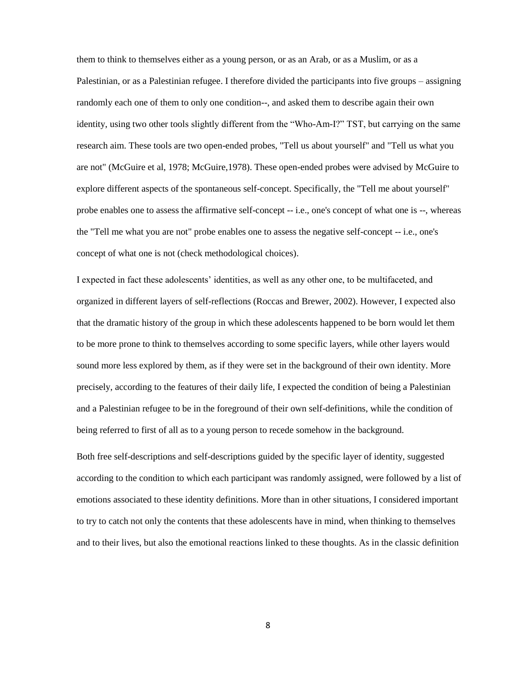them to think to themselves either as a young person, or as an Arab, or as a Muslim, or as a Palestinian, or as a Palestinian refugee. I therefore divided the participants into five groups – assigning randomly each one of them to only one condition--, and asked them to describe again their own identity, using two other tools slightly different from the "Who-Am-I?" TST, but carrying on the same research aim. These tools are two open-ended probes, "Tell us about yourself" and "Tell us what you are not" (McGuire et al, 1978; McGuire,1978). These open-ended probes were advised by McGuire to explore different aspects of the spontaneous self-concept. Specifically, the "Tell me about yourself" probe enables one to assess the affirmative self-concept -- i.e., one's concept of what one is --, whereas the "Tell me what you are not" probe enables one to assess the negative self-concept -- i.e., one's concept of what one is not (check methodological choices).

I expected in fact these adolescents' identities, as well as any other one, to be multifaceted, and organized in different layers of self-reflections (Roccas and Brewer, 2002). However, I expected also that the dramatic history of the group in which these adolescents happened to be born would let them to be more prone to think to themselves according to some specific layers, while other layers would sound more less explored by them, as if they were set in the background of their own identity. More precisely, according to the features of their daily life, I expected the condition of being a Palestinian and a Palestinian refugee to be in the foreground of their own self-definitions, while the condition of being referred to first of all as to a young person to recede somehow in the background.

Both free self-descriptions and self-descriptions guided by the specific layer of identity, suggested according to the condition to which each participant was randomly assigned, were followed by a list of emotions associated to these identity definitions. More than in other situations, I considered important to try to catch not only the contents that these adolescents have in mind, when thinking to themselves and to their lives, but also the emotional reactions linked to these thoughts. As in the classic definition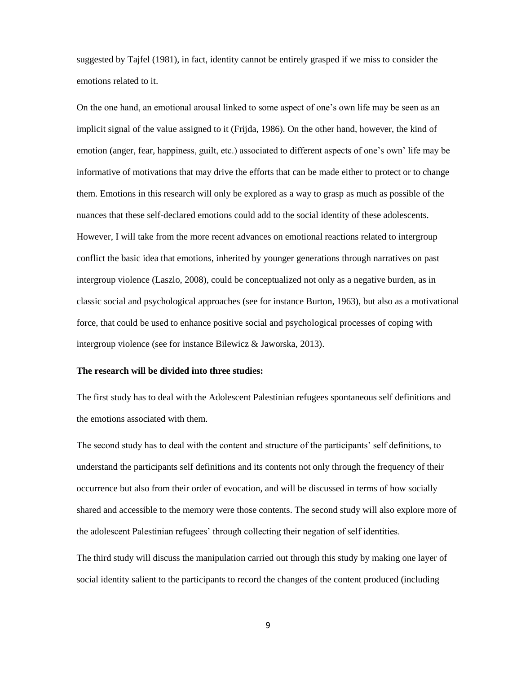suggested by Tajfel (1981), in fact, identity cannot be entirely grasped if we miss to consider the emotions related to it.

On the one hand, an emotional arousal linked to some aspect of one's own life may be seen as an implicit signal of the value assigned to it (Frijda, 1986). On the other hand, however, the kind of emotion (anger, fear, happiness, guilt, etc.) associated to different aspects of one's own' life may be informative of motivations that may drive the efforts that can be made either to protect or to change them. Emotions in this research will only be explored as a way to grasp as much as possible of the nuances that these self-declared emotions could add to the social identity of these adolescents. However, I will take from the more recent advances on emotional reactions related to intergroup conflict the basic idea that emotions, inherited by younger generations through narratives on past intergroup violence (Laszlo, 2008), could be conceptualized not only as a negative burden, as in classic social and psychological approaches (see for instance Burton, 1963), but also as a motivational force, that could be used to enhance positive social and psychological processes of coping with intergroup violence (see for instance Bilewicz & Jaworska, 2013).

#### **The research will be divided into three studies:**

The first study has to deal with the Adolescent Palestinian refugees spontaneous self definitions and the emotions associated with them.

The second study has to deal with the content and structure of the participants' self definitions, to understand the participants self definitions and its contents not only through the frequency of their occurrence but also from their order of evocation, and will be discussed in terms of how socially shared and accessible to the memory were those contents. The second study will also explore more of the adolescent Palestinian refugees' through collecting their negation of self identities.

The third study will discuss the manipulation carried out through this study by making one layer of social identity salient to the participants to record the changes of the content produced (including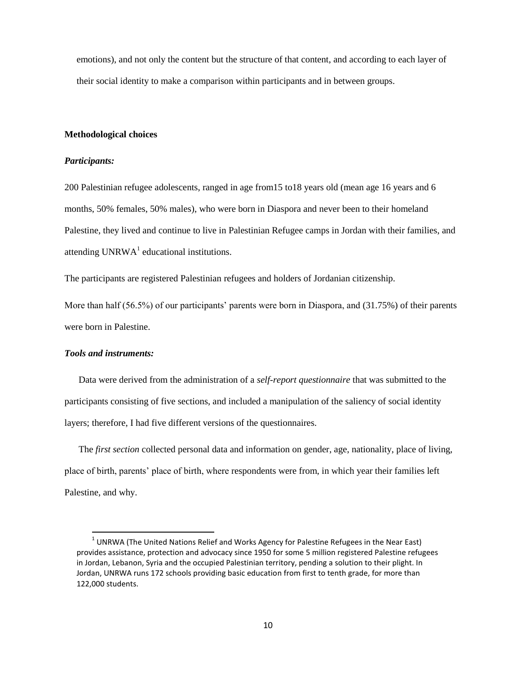emotions), and not only the content but the structure of that content, and according to each layer of their social identity to make a comparison within participants and in between groups.

#### **Methodological choices**

#### *Participants:*

200 Palestinian refugee adolescents, ranged in age from15 to18 years old (mean age 16 years and 6 months, 50% females, 50% males), who were born in Diaspora and never been to their homeland Palestine, they lived and continue to live in Palestinian Refugee camps in Jordan with their families, and attending  $UNRWA<sup>1</sup>$  educational institutions.

The participants are registered Palestinian refugees and holders of Jordanian citizenship.

More than half (56.5%) of our participants' parents were born in Diaspora, and (31.75%) of their parents were born in Palestine.

#### *Tools and instruments:*

 $\overline{\phantom{a}}$ 

 Data were derived from the administration of a *self-report questionnaire* that was submitted to the participants consisting of five sections, and included a manipulation of the saliency of social identity layers; therefore, I had five different versions of the questionnaires.

 The *first section* collected personal data and information on gender, age, nationality, place of living, place of birth, parents' place of birth, where respondents were from, in which year their families left Palestine, and why.

 $1$  UNRWA (The United Nations Relief and Works Agency for Palestine Refugees in the Near East) provides assistance, protection and advocacy since 1950 for some 5 million registered Palestine refugees in Jordan, Lebanon, Syria and the occupied Palestinian territory, pending a solution to their plight. In Jordan, UNRWA runs 172 schools providing basic education from first to tenth grade, for more than 122,000 students.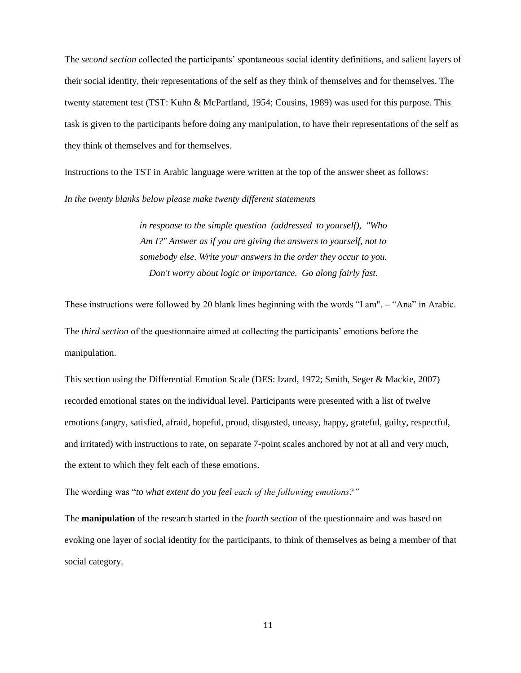The *second section* collected the participants' spontaneous social identity definitions, and salient layers of their social identity, their representations of the self as they think of themselves and for themselves. The twenty statement test (TST: Kuhn & McPartland, 1954; Cousins, 1989) was used for this purpose. This task is given to the participants before doing any manipulation, to have their representations of the self as they think of themselves and for themselves.

Instructions to the TST in Arabic language were written at the top of the answer sheet as follows:

*In the twenty blanks below please make twenty different statements*

*in response to the simple question (addressed to yourself), "Who Am I?" Answer as if you are giving the answers to yourself, not to somebody else. Write your answers in the order they occur to you. Don't worry about logic or importance. Go along fairly fast.*

These instructions were followed by 20 blank lines beginning with the words "I am". – "Ana" in Arabic.

The *third section* of the questionnaire aimed at collecting the participants' emotions before the manipulation.

This section using the Differential Emotion Scale (DES: Izard, 1972; Smith, Seger & Mackie, 2007) recorded emotional states on the individual level. Participants were presented with a list of twelve emotions (angry, satisfied, afraid, hopeful, proud, disgusted, uneasy, happy, grateful, guilty, respectful, and irritated) with instructions to rate, on separate 7-point scales anchored by not at all and very much, the extent to which they felt each of these emotions.

The wording was "*to what extent do you feel each of the following emotions?"*

The **manipulation** of the research started in the *fourth section* of the questionnaire and was based on evoking one layer of social identity for the participants, to think of themselves as being a member of that social category.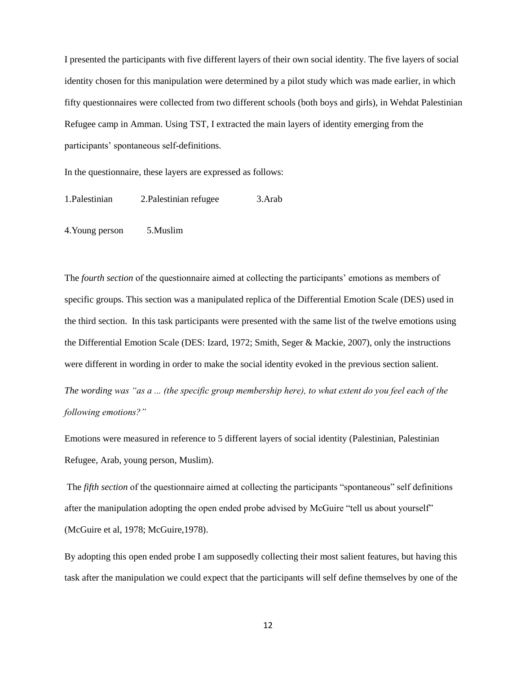I presented the participants with five different layers of their own social identity. The five layers of social identity chosen for this manipulation were determined by a pilot study which was made earlier, in which fifty questionnaires were collected from two different schools (both boys and girls), in Wehdat Palestinian Refugee camp in Amman. Using TST, I extracted the main layers of identity emerging from the participants' spontaneous self-definitions.

In the questionnaire, these layers are expressed as follows:

1.Palestinian 2.Palestinian refugee 3.Arab

4.Young person 5.Muslim

The *fourth section* of the questionnaire aimed at collecting the participants' emotions as members of specific groups. This section was a manipulated replica of the Differential Emotion Scale (DES) used in the third section. In this task participants were presented with the same list of the twelve emotions using the Differential Emotion Scale (DES: Izard, 1972; Smith, Seger & Mackie, 2007), only the instructions were different in wording in order to make the social identity evoked in the previous section salient.

*The wording was "as a ... (the specific group membership here), to what extent do you feel each of the following emotions?"*

Emotions were measured in reference to 5 different layers of social identity (Palestinian, Palestinian Refugee, Arab, young person, Muslim).

The *fifth section* of the questionnaire aimed at collecting the participants "spontaneous" self definitions after the manipulation adopting the open ended probe advised by McGuire "tell us about yourself" (McGuire et al, 1978; McGuire,1978).

By adopting this open ended probe I am supposedly collecting their most salient features, but having this task after the manipulation we could expect that the participants will self define themselves by one of the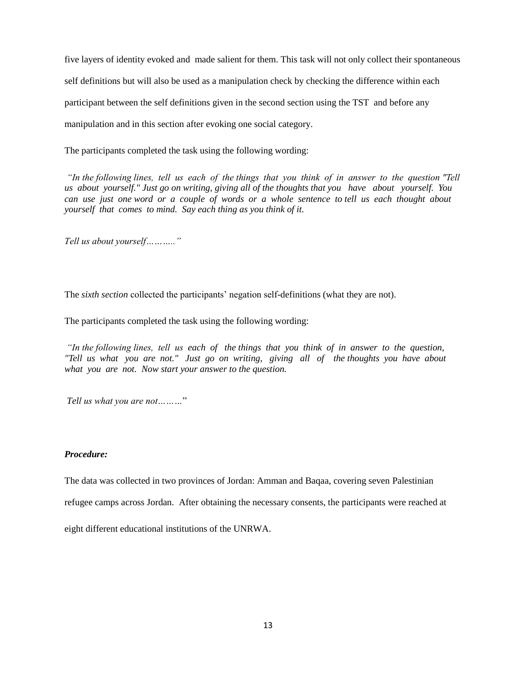five layers of identity evoked and made salient for them. This task will not only collect their spontaneous self definitions but will also be used as a manipulation check by checking the difference within each participant between the self definitions given in the second section using the TST and before any manipulation and in this section after evoking one social category.

The participants completed the task using the following wording:

*"In the following lines, tell us each of the things that you think of in answer to the question "Tell us about yourself." Just go on writing, giving all of the thoughts that you have about yourself. You can use just one word or a couple of words or a whole sentence to tell us each thought about yourself that comes to mind. Say each thing as you think of it.* 

*Tell us about yourself……….."*

The *sixth section* collected the participants' negation self-definitions (what they are not).

The participants completed the task using the following wording:

*"In the following lines, tell us each of the things that you think of in answer to the question, "Tell us what you are not." Just go on writing, giving all of the thoughts you have about what you are not. Now start your answer to the question.*

*Tell us what you are not………*"

#### *Procedure:*

The data was collected in two provinces of Jordan: Amman and Baqaa, covering seven Palestinian

refugee camps across Jordan. After obtaining the necessary consents, the participants were reached at

eight different educational institutions of the UNRWA.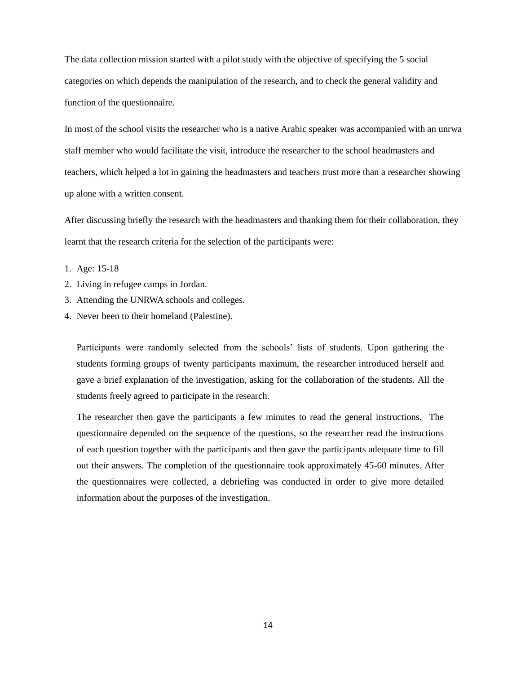The data collection mission started with a pilot study with the objective of specifying the 5 social categories on which depends the manipulation of the research, and to check the general validity and function of the questionnaire.

In most of the school visits the researcher who is a native Arabic speaker was accompanied with an unrwa staff member who would facilitate the visit, introduce the researcher to the school headmasters and teachers, which helped a lot in gaining the headmasters and teachers trust more than a researcher showing up alone with a written consent.

After discussing briefly the research with the headmasters and thanking them for their collaboration, they learnt that the research criteria for the selection of the participants were:

- 1. Age: 15-18
- 2. Living in refugee camps in Jordan.
- 3. Attending the UNRWA schools and colleges.
- 4. Never been to their homeland (Palestine).

Participants were randomly selected from the schools' lists of students. Upon gathering the students forming groups of twenty participants maximum, the researcher introduced herself and gave a brief explanation of the investigation, asking for the collaboration of the students. All the students freely agreed to participate in the research.

The researcher then gave the participants a few minutes to read the general instructions. The questionnaire depended on the sequence of the questions, so the researcher read the instructions of each question together with the participants and then gave the participants adequate time to fill out their answers. The completion of the questionnaire took approximately 45-60 minutes. After the questionnaires were collected, a debriefing was conducted in order to give more detailed information about the purposes of the investigation.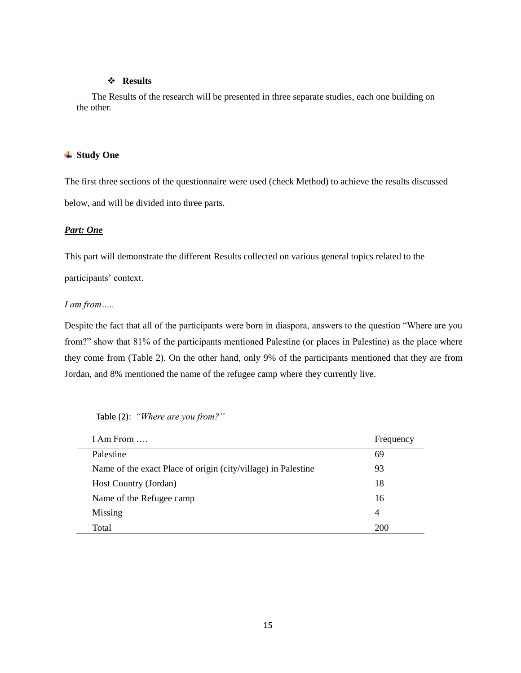#### **Results**

The Results of the research will be presented in three separate studies, each one building on the other.

#### **Study One**

The first three sections of the questionnaire were used (check Method) to achieve the results discussed below, and will be divided into three parts.

#### *Part: One*

This part will demonstrate the different Results collected on various general topics related to the

participants' context.

#### *I am from…..*

Despite the fact that all of the participants were born in diaspora, answers to the question "Where are you from?" show that 81% of the participants mentioned Palestine (or places in Palestine) as the place where they come from (Table 2). On the other hand, only 9% of the participants mentioned that they are from Jordan, and 8% mentioned the name of the refugee camp where they currently live.

| I Am From $\ldots$                                            | Frequency |
|---------------------------------------------------------------|-----------|
| Palestine                                                     | 69        |
| Name of the exact Place of origin (city/village) in Palestine | 93        |
| Host Country (Jordan)                                         | 18        |
| Name of the Refugee camp                                      | 16        |
| Missing                                                       | 4         |
| Total                                                         | 200       |

#### Table (2): *"Where are you from?"*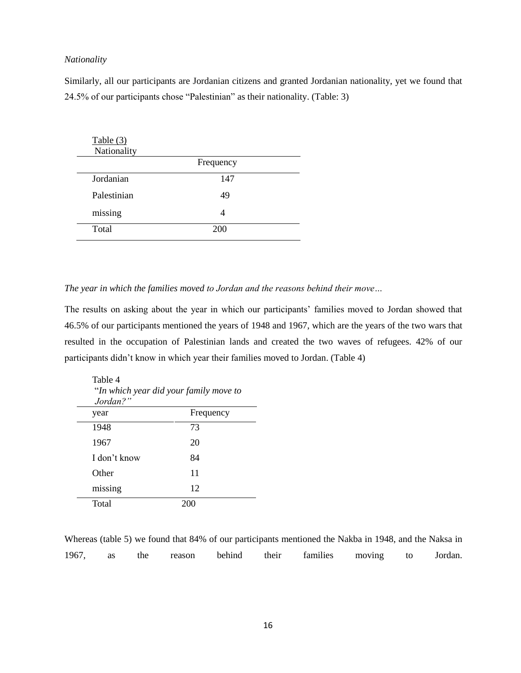#### *Nationality*

Similarly, all our participants are Jordanian citizens and granted Jordanian nationality, yet we found that 24.5% of our participants chose "Palestinian" as their nationality. (Table: 3)

| Table (3)<br>Nationality |                |  |
|--------------------------|----------------|--|
|                          | Frequency      |  |
| Jordanian                | 147            |  |
| Palestinian              | 49             |  |
| missing                  | $\overline{A}$ |  |
| Total                    | 200            |  |

#### *The year in which the families moved to Jordan and the reasons behind their move…*

The results on asking about the year in which our participants' families moved to Jordan showed that 46.5% of our participants mentioned the years of 1948 and 1967, which are the years of the two wars that resulted in the occupation of Palestinian lands and created the two waves of refugees. 42% of our participants didn't know in which year their families moved to Jordan. (Table 4)

| Table 4<br>Jordan?" | "In which year did your family move to |
|---------------------|----------------------------------------|
| year                | Frequency                              |
| 1948                | 73                                     |
| 1967                | 20                                     |
| I don't know        | 84                                     |
| Other               | 11                                     |
| missing             | 12                                     |
| Total               |                                        |

Whereas (table 5) we found that 84% of our participants mentioned the Nakba in 1948, and the Naksa in 1967, as the reason behind their families moving to Jordan.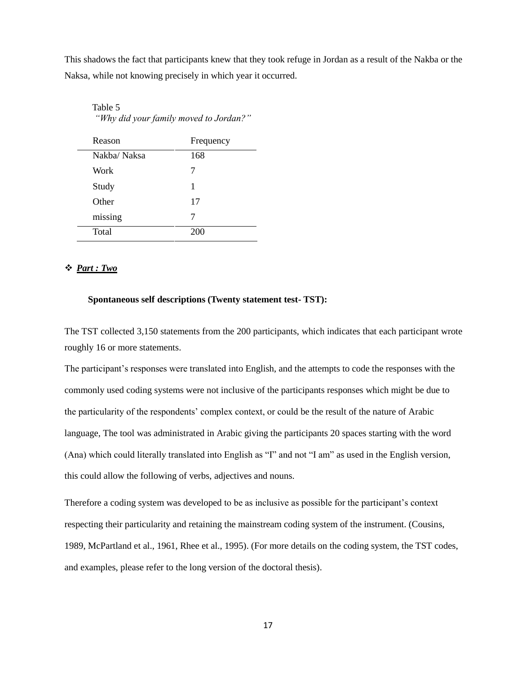This shadows the fact that participants knew that they took refuge in Jordan as a result of the Nakba or the Naksa, while not knowing precisely in which year it occurred.

| Reason      | Frequency |
|-------------|-----------|
| Nakba/Naksa | 168       |
| Work        | 7         |
| Study       | 1         |
| Other       | 17        |
| missing     | 7         |
| Total       | 200       |

Table 5 *"Why did your family moved to Jordan?"*

#### *Part : Two*

#### **Spontaneous self descriptions (Twenty statement test- TST):**

The TST collected 3,150 statements from the 200 participants, which indicates that each participant wrote roughly 16 or more statements.

The participant's responses were translated into English, and the attempts to code the responses with the commonly used coding systems were not inclusive of the participants responses which might be due to the particularity of the respondents' complex context, or could be the result of the nature of Arabic language, The tool was administrated in Arabic giving the participants 20 spaces starting with the word (Ana) which could literally translated into English as "I" and not "I am" as used in the English version, this could allow the following of verbs, adjectives and nouns.

Therefore a coding system was developed to be as inclusive as possible for the participant's context respecting their particularity and retaining the mainstream coding system of the instrument. (Cousins, 1989, McPartland et al., 1961, Rhee et al., 1995). (For more details on the coding system, the TST codes, and examples, please refer to the long version of the doctoral thesis).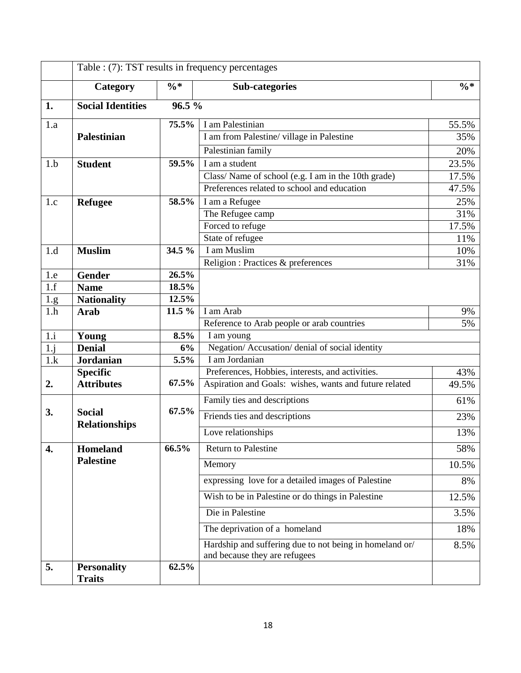|                   |                                     |                | Table : (7): TST results in frequency percentages                                        |        |  |
|-------------------|-------------------------------------|----------------|------------------------------------------------------------------------------------------|--------|--|
|                   | Category                            | $\% *$         | <b>Sub-categories</b>                                                                    | $\% *$ |  |
| 1.                | <b>Social Identities</b>            | 96.5%          |                                                                                          |        |  |
| 1.a               |                                     | 75.5%          | I am Palestinian                                                                         | 55.5%  |  |
|                   | Palestinian                         |                | I am from Palestine/village in Palestine                                                 | 35%    |  |
|                   |                                     |                | Palestinian family                                                                       | 20%    |  |
| 1.b               | <b>Student</b>                      | 59.5%          | I am a student                                                                           | 23.5%  |  |
|                   |                                     |                | Class/Name of school (e.g. I am in the 10th grade)                                       | 17.5%  |  |
|                   |                                     |                | Preferences related to school and education                                              | 47.5%  |  |
| 1.c               | <b>Refugee</b>                      | 58.5%          | I am a Refugee                                                                           | 25%    |  |
|                   |                                     |                | The Refugee camp                                                                         | 31%    |  |
|                   |                                     |                | Forced to refuge                                                                         | 17.5%  |  |
|                   |                                     |                | State of refugee                                                                         | 11%    |  |
| 1.d               | <b>Muslim</b>                       | 34.5 %         | I am Muslim                                                                              | 10%    |  |
|                   |                                     |                | Religion : Practices & preferences                                                       | 31%    |  |
| 1.e               | <b>Gender</b>                       | 26.5%          |                                                                                          |        |  |
| 1.f               | <b>Name</b>                         | 18.5%<br>12.5% |                                                                                          |        |  |
| <u>1.g</u><br>1.h | <b>Nationality</b><br><b>Arab</b>   | 11.5 %         | I am Arab                                                                                | 9%     |  |
|                   |                                     |                | Reference to Arab people or arab countries                                               | 5%     |  |
| 1.i               | Young                               | 8.5%           | I am young                                                                               |        |  |
| 1,j               | <b>Denial</b>                       | 6%             | Negation/ Accusation/ denial of social identity                                          |        |  |
| 1.k               | <b>Jordanian</b>                    | 5.5%           | I am Jordanian                                                                           |        |  |
|                   | <b>Specific</b>                     |                | Preferences, Hobbies, interests, and activities.                                         | 43%    |  |
| 2.                | <b>Attributes</b>                   | 67.5%          | Aspiration and Goals: wishes, wants and future related                                   | 49.5%  |  |
|                   | <b>Social</b>                       | 67.5%          | Family ties and descriptions                                                             | 61%    |  |
| 3.                | <b>Relationships</b>                |                | Friends ties and descriptions                                                            | 23%    |  |
|                   |                                     |                | Love relationships                                                                       | 13%    |  |
| 4.                | <b>Homeland</b>                     | 66.5%          | <b>Return to Palestine</b>                                                               | 58%    |  |
|                   | <b>Palestine</b>                    |                | Memory                                                                                   | 10.5%  |  |
|                   |                                     |                | expressing love for a detailed images of Palestine                                       | 8%     |  |
|                   |                                     |                | Wish to be in Palestine or do things in Palestine                                        | 12.5%  |  |
|                   |                                     |                | Die in Palestine                                                                         | 3.5%   |  |
|                   |                                     |                | The deprivation of a homeland                                                            | 18%    |  |
|                   |                                     |                | Hardship and suffering due to not being in homeland or/<br>and because they are refugees | 8.5%   |  |
| 5.                | <b>Personality</b><br><b>Traits</b> | 62.5%          |                                                                                          |        |  |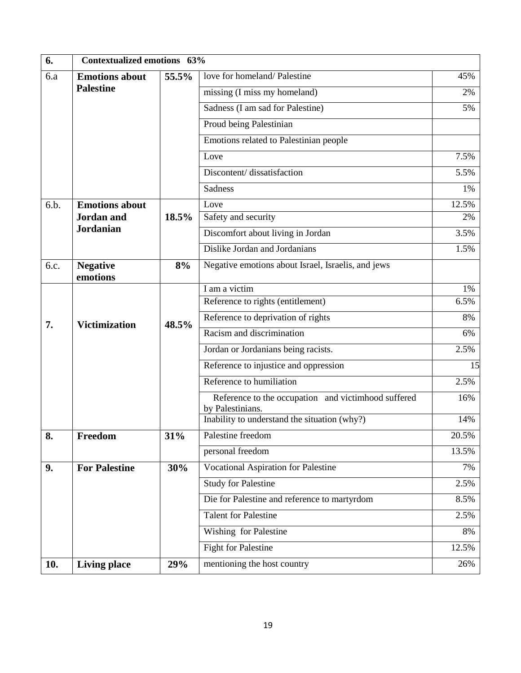| 6.   | Contextualized emotions 63% |       |                                                                         |       |
|------|-----------------------------|-------|-------------------------------------------------------------------------|-------|
| 6.a  | <b>Emotions about</b>       | 55.5% | love for homeland/Palestine                                             | 45%   |
|      | <b>Palestine</b>            |       | missing (I miss my homeland)                                            | 2%    |
|      |                             |       | Sadness (I am sad for Palestine)                                        | 5%    |
|      |                             |       | Proud being Palestinian                                                 |       |
|      |                             |       | Emotions related to Palestinian people                                  |       |
|      |                             |       | Love                                                                    | 7.5%  |
|      |                             |       | Discontent/dissatisfaction                                              | 5.5%  |
|      |                             |       | <b>Sadness</b>                                                          | 1%    |
| 6.b. | <b>Emotions about</b>       |       | Love                                                                    | 12.5% |
|      | <b>Jordan</b> and           | 18.5% | Safety and security                                                     | 2%    |
|      | <b>Jordanian</b>            |       | Discomfort about living in Jordan                                       | 3.5%  |
|      |                             |       | Dislike Jordan and Jordanians                                           | 1.5%  |
| 6.c. | <b>Negative</b><br>emotions | 8%    | Negative emotions about Israel, Israelis, and jews                      |       |
|      |                             |       | I am a victim                                                           | 1%    |
|      |                             |       | Reference to rights (entitlement)                                       | 6.5%  |
| 7.   | <b>Victimization</b>        | 48.5% | Reference to deprivation of rights                                      | 8%    |
|      |                             |       | Racism and discrimination                                               | 6%    |
|      |                             |       | Jordan or Jordanians being racists.                                     | 2.5%  |
|      |                             |       | Reference to injustice and oppression                                   | 15    |
|      |                             |       | Reference to humiliation                                                | 2.5%  |
|      |                             |       | Reference to the occupation and victimhood suffered<br>by Palestinians. | 16%   |
|      |                             |       | Inability to understand the situation (why?)                            | 14%   |
| 8.   | Freedom                     | 31%   | Palestine freedom                                                       | 20.5% |
|      |                             |       | personal freedom                                                        | 13.5% |
| 9.   | <b>For Palestine</b>        | 30%   | <b>Vocational Aspiration for Palestine</b>                              | 7%    |
|      |                             |       | <b>Study for Palestine</b>                                              | 2.5%  |
|      |                             |       | Die for Palestine and reference to martyrdom                            | 8.5%  |
|      |                             |       | <b>Talent for Palestine</b>                                             | 2.5%  |
|      |                             |       | Wishing for Palestine                                                   | 8%    |
|      |                             |       | <b>Fight for Palestine</b>                                              | 12.5% |
| 10.  | <b>Living place</b>         | 29%   | mentioning the host country                                             | 26%   |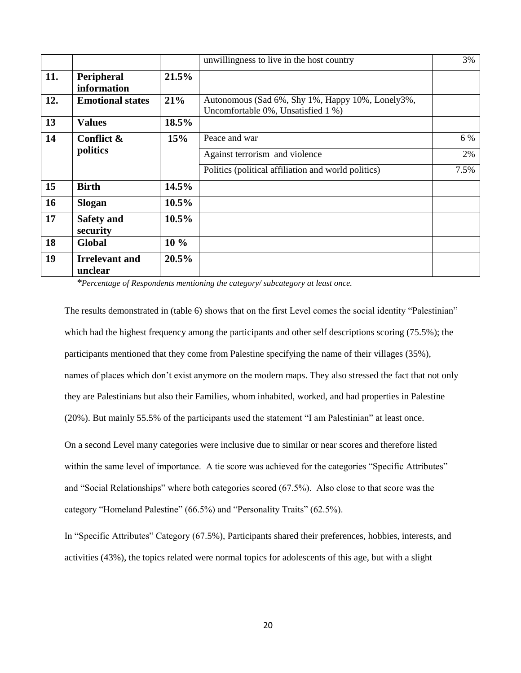|     |                                  |          | unwillingness to live in the host country                                              | 3%   |
|-----|----------------------------------|----------|----------------------------------------------------------------------------------------|------|
| 11. | Peripheral<br>information        | 21.5%    |                                                                                        |      |
| 12. | <b>Emotional states</b>          | 21%      | Autonomous (Sad 6%, Shy 1%, Happy 10%, Lonely3%,<br>Uncomfortable 0%, Unsatisfied 1 %) |      |
| 13  | <b>Values</b>                    | 18.5%    |                                                                                        |      |
| 14  | Conflict &                       | 15%      | Peace and war                                                                          | 6 %  |
|     | politics                         |          | Against terrorism and violence                                                         | 2%   |
|     |                                  |          | Politics (political affiliation and world politics)                                    | 7.5% |
| 15  | <b>Birth</b>                     | 14.5%    |                                                                                        |      |
| 16  | <b>Slogan</b>                    | $10.5\%$ |                                                                                        |      |
| 17  | <b>Safety and</b><br>security    | $10.5\%$ |                                                                                        |      |
| 18  | Global                           | $10\%$   |                                                                                        |      |
| 19  | <b>Irrelevant and</b><br>unclear | 20.5%    |                                                                                        |      |

*\*Percentage of Respondents mentioning the category/ subcategory at least once.*

The results demonstrated in (table 6) shows that on the first Level comes the social identity "Palestinian" which had the highest frequency among the participants and other self descriptions scoring (75.5%); the participants mentioned that they come from Palestine specifying the name of their villages (35%), names of places which don't exist anymore on the modern maps. They also stressed the fact that not only they are Palestinians but also their Families, whom inhabited, worked, and had properties in Palestine (20%). But mainly 55.5% of the participants used the statement "I am Palestinian" at least once.

On a second Level many categories were inclusive due to similar or near scores and therefore listed within the same level of importance. A tie score was achieved for the categories "Specific Attributes" and "Social Relationships" where both categories scored (67.5%). Also close to that score was the category "Homeland Palestine" (66.5%) and "Personality Traits" (62.5%).

In "Specific Attributes" Category (67.5%), Participants shared their preferences, hobbies, interests, and activities (43%), the topics related were normal topics for adolescents of this age, but with a slight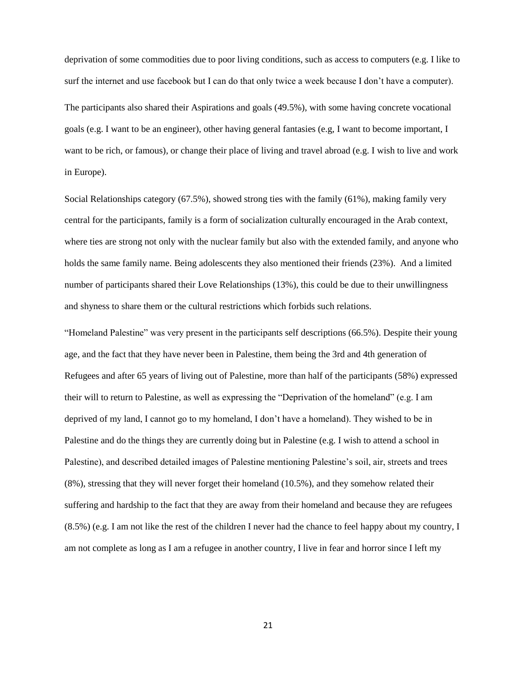deprivation of some commodities due to poor living conditions, such as access to computers (e.g. I like to surf the internet and use facebook but I can do that only twice a week because I don't have a computer).

The participants also shared their Aspirations and goals (49.5%), with some having concrete vocational goals (e.g. I want to be an engineer), other having general fantasies (e.g, I want to become important, I want to be rich, or famous), or change their place of living and travel abroad (e.g. I wish to live and work in Europe).

Social Relationships category (67.5%), showed strong ties with the family (61%), making family very central for the participants, family is a form of socialization culturally encouraged in the Arab context, where ties are strong not only with the nuclear family but also with the extended family, and anyone who holds the same family name. Being adolescents they also mentioned their friends (23%). And a limited number of participants shared their Love Relationships (13%), this could be due to their unwillingness and shyness to share them or the cultural restrictions which forbids such relations.

"Homeland Palestine" was very present in the participants self descriptions (66.5%). Despite their young age, and the fact that they have never been in Palestine, them being the 3rd and 4th generation of Refugees and after 65 years of living out of Palestine, more than half of the participants (58%) expressed their will to return to Palestine, as well as expressing the "Deprivation of the homeland" (e.g. I am deprived of my land, I cannot go to my homeland, I don't have a homeland). They wished to be in Palestine and do the things they are currently doing but in Palestine (e.g. I wish to attend a school in Palestine), and described detailed images of Palestine mentioning Palestine's soil, air, streets and trees (8%), stressing that they will never forget their homeland (10.5%), and they somehow related their suffering and hardship to the fact that they are away from their homeland and because they are refugees (8.5%) (e.g. I am not like the rest of the children I never had the chance to feel happy about my country, I am not complete as long as I am a refugee in another country, I live in fear and horror since I left my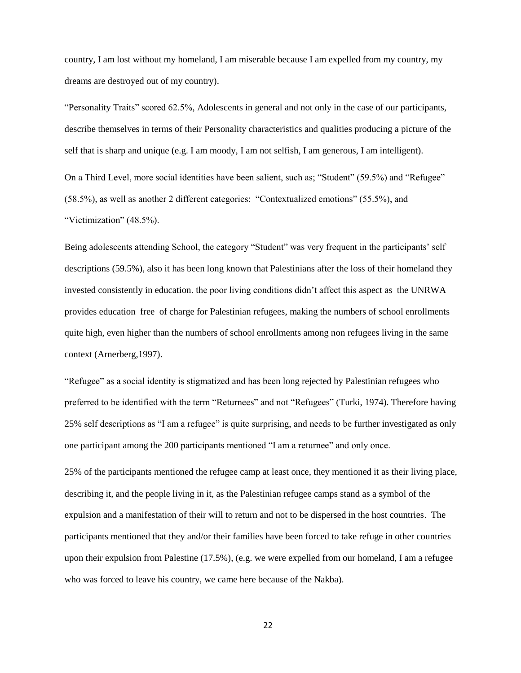country, I am lost without my homeland, I am miserable because I am expelled from my country, my dreams are destroyed out of my country).

"Personality Traits" scored 62.5%, Adolescents in general and not only in the case of our participants, describe themselves in terms of their Personality characteristics and qualities producing a picture of the self that is sharp and unique (e.g. I am moody, I am not selfish, I am generous, I am intelligent). On a Third Level, more social identities have been salient, such as; "Student" (59.5%) and "Refugee" (58.5%), as well as another 2 different categories: "Contextualized emotions" (55.5%), and "Victimization" (48.5%).

Being adolescents attending School, the category "Student" was very frequent in the participants' self descriptions (59.5%), also it has been long known that Palestinians after the loss of their homeland they invested consistently in education. the poor living conditions didn't affect this aspect as the UNRWA provides education free of charge for Palestinian refugees, making the numbers of school enrollments quite high, even higher than the numbers of school enrollments among non refugees living in the same context (Arnerberg,1997).

"Refugee" as a social identity is stigmatized and has been long rejected by Palestinian refugees who preferred to be identified with the term "Returnees" and not "Refugees" (Turki, 1974). Therefore having 25% self descriptions as "I am a refugee" is quite surprising, and needs to be further investigated as only one participant among the 200 participants mentioned "I am a returnee" and only once.

25% of the participants mentioned the refugee camp at least once, they mentioned it as their living place, describing it, and the people living in it, as the Palestinian refugee camps stand as a symbol of the expulsion and a manifestation of their will to return and not to be dispersed in the host countries. The participants mentioned that they and/or their families have been forced to take refuge in other countries upon their expulsion from Palestine (17.5%), (e.g. we were expelled from our homeland, I am a refugee who was forced to leave his country, we came here because of the Nakba).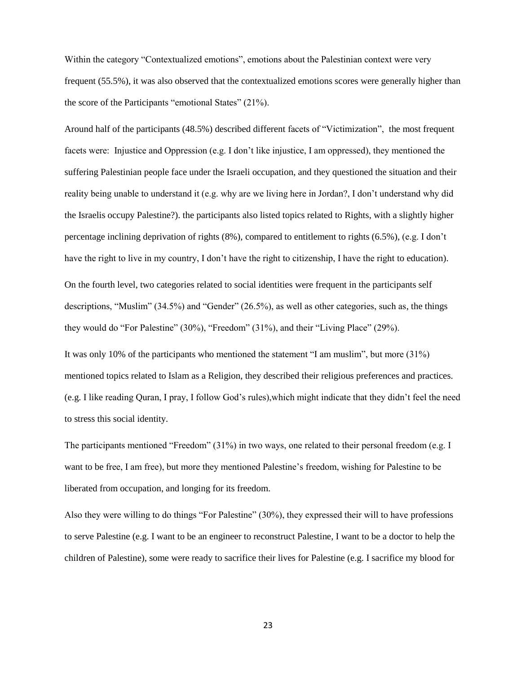Within the category "Contextualized emotions", emotions about the Palestinian context were very frequent (55.5%), it was also observed that the contextualized emotions scores were generally higher than the score of the Participants "emotional States" (21%).

Around half of the participants (48.5%) described different facets of "Victimization", the most frequent facets were: Injustice and Oppression (e.g. I don't like injustice, I am oppressed), they mentioned the suffering Palestinian people face under the Israeli occupation, and they questioned the situation and their reality being unable to understand it (e.g. why are we living here in Jordan?, I don't understand why did the Israelis occupy Palestine?). the participants also listed topics related to Rights, with a slightly higher percentage inclining deprivation of rights (8%), compared to entitlement to rights (6.5%), (e.g. I don't have the right to live in my country, I don't have the right to citizenship, I have the right to education).

On the fourth level, two categories related to social identities were frequent in the participants self descriptions, "Muslim" (34.5%) and "Gender" (26.5%), as well as other categories, such as, the things they would do "For Palestine" (30%), "Freedom" (31%), and their "Living Place" (29%).

It was only 10% of the participants who mentioned the statement "I am muslim", but more (31%) mentioned topics related to Islam as a Religion, they described their religious preferences and practices. (e.g. I like reading Quran, I pray, I follow God's rules),which might indicate that they didn't feel the need to stress this social identity.

The participants mentioned "Freedom" (31%) in two ways, one related to their personal freedom (e.g. I want to be free, I am free), but more they mentioned Palestine's freedom, wishing for Palestine to be liberated from occupation, and longing for its freedom.

Also they were willing to do things "For Palestine" (30%), they expressed their will to have professions to serve Palestine (e.g. I want to be an engineer to reconstruct Palestine, I want to be a doctor to help the children of Palestine), some were ready to sacrifice their lives for Palestine (e.g. I sacrifice my blood for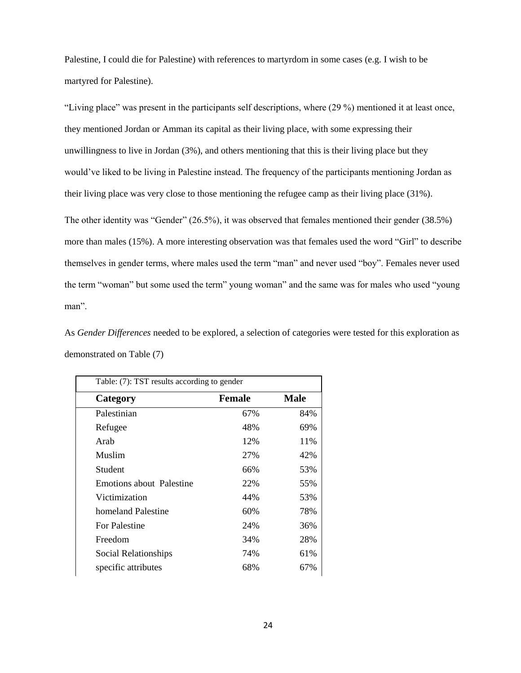Palestine, I could die for Palestine) with references to martyrdom in some cases (e.g. I wish to be martyred for Palestine).

"Living place" was present in the participants self descriptions, where (29 %) mentioned it at least once, they mentioned Jordan or Amman its capital as their living place, with some expressing their unwillingness to live in Jordan (3%), and others mentioning that this is their living place but they would've liked to be living in Palestine instead. The frequency of the participants mentioning Jordan as their living place was very close to those mentioning the refugee camp as their living place (31%). The other identity was "Gender" (26.5%), it was observed that females mentioned their gender (38.5%) more than males (15%). A more interesting observation was that females used the word "Girl" to describe themselves in gender terms, where males used the term "man" and never used "boy". Females never used the term "woman" but some used the term" young woman" and the same was for males who used "young man".

As *Gender Differences* needed to be explored, a selection of categories were tested for this exploration as demonstrated on Table (7)

| Table: (7): TST results according to gender |               |      |  |
|---------------------------------------------|---------------|------|--|
| Category                                    | <b>Female</b> | Male |  |
| Palestinian                                 | 67%           | 84%  |  |
| Refugee                                     | 48%           | 69%  |  |
| Arab                                        | 12%           | 11%  |  |
| Muslim                                      | 27%           | 42%  |  |
| Student                                     | 66%           | 53%  |  |
| Emotions about Palestine                    | 22%           | 55%  |  |
| Victimization                               | 44%           | 53%  |  |
| homeland Palestine                          | 60%           | 78%  |  |
| <b>For Palestine</b>                        | 24%           | 36%  |  |
| Freedom                                     | 34%           | 28%  |  |
| Social Relationships                        | 74%           | 61%  |  |
| specific attributes                         | 68%           | 67%  |  |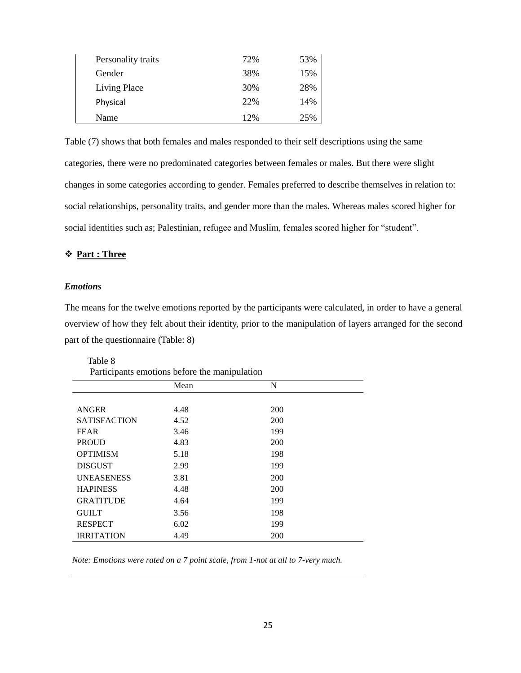| Personality traits | 72% | 53% |
|--------------------|-----|-----|
| Gender             | 38% | 15% |
| Living Place       | 30% | 28% |
| Physical           | 22% | 14% |
| Name               | 12% | 25% |

Table (7) shows that both females and males responded to their self descriptions using the same categories, there were no predominated categories between females or males. But there were slight changes in some categories according to gender. Females preferred to describe themselves in relation to: social relationships, personality traits, and gender more than the males. Whereas males scored higher for social identities such as; Palestinian, refugee and Muslim, females scored higher for "student".

#### **Part : Three**

#### *Emotions*

The means for the twelve emotions reported by the participants were calculated, in order to have a general overview of how they felt about their identity, prior to the manipulation of layers arranged for the second part of the questionnaire (Table: 8)

| Table 8             |                                               |            |  |
|---------------------|-----------------------------------------------|------------|--|
|                     | Participants emotions before the manipulation |            |  |
|                     | Mean                                          | N          |  |
|                     |                                               |            |  |
| <b>ANGER</b>        | 4.48                                          | <b>200</b> |  |
| <b>SATISFACTION</b> | 4.52                                          | <b>200</b> |  |
| <b>FEAR</b>         | 3.46                                          | 199        |  |
| <b>PROUD</b>        | 4.83                                          | <b>200</b> |  |
| <b>OPTIMISM</b>     | 5.18                                          | 198        |  |
| <b>DISGUST</b>      | 2.99                                          | 199        |  |
| <b>UNEASENESS</b>   | 3.81                                          | <b>200</b> |  |
| <b>HAPINESS</b>     | 4.48                                          | <b>200</b> |  |
| <b>GRATITUDE</b>    | 4.64                                          | 199        |  |
| <b>GUILT</b>        | 3.56                                          | 198        |  |
| <b>RESPECT</b>      | 6.02                                          | 199        |  |
| <b>IRRITATION</b>   | 4.49                                          | <b>200</b> |  |

*Note: Emotions were rated on a 7 point scale, from 1-not at all to 7-very much.*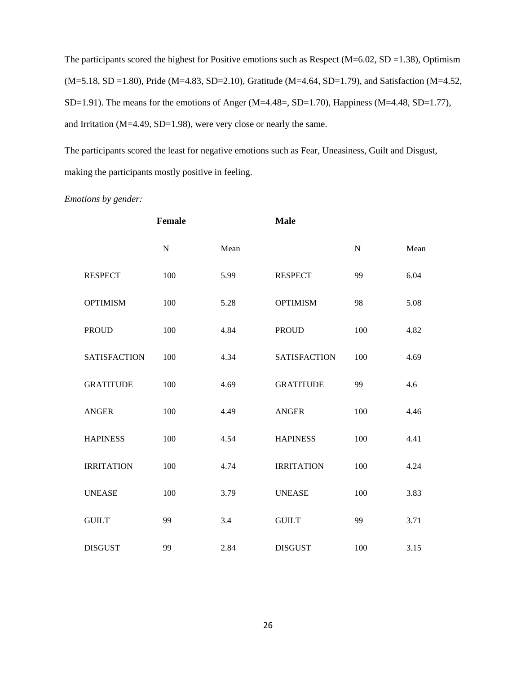The participants scored the highest for Positive emotions such as Respect ( $M=6.02$ , SD =1.38), Optimism (M=5.18, SD =1.80), Pride (M=4.83, SD=2.10), Gratitude (M=4.64, SD=1.79), and Satisfaction (M=4.52, SD=1.91). The means for the emotions of Anger (M=4.48=, SD=1.70), Happiness (M=4.48, SD=1.77), and Irritation (M=4.49, SD=1.98), were very close or nearly the same.

The participants scored the least for negative emotions such as Fear, Uneasiness, Guilt and Disgust, making the participants mostly positive in feeling.

*Emotions by gender:*

|                     | Female      |      | <b>Male</b>         |           |      |
|---------------------|-------------|------|---------------------|-----------|------|
|                     | $\mathbf N$ | Mean |                     | ${\bf N}$ | Mean |
| <b>RESPECT</b>      | 100         | 5.99 | <b>RESPECT</b>      | 99        | 6.04 |
| <b>OPTIMISM</b>     | 100         | 5.28 | <b>OPTIMISM</b>     | 98        | 5.08 |
| <b>PROUD</b>        | 100         | 4.84 | <b>PROUD</b>        | 100       | 4.82 |
| <b>SATISFACTION</b> | 100         | 4.34 | <b>SATISFACTION</b> | 100       | 4.69 |
| <b>GRATITUDE</b>    | 100         | 4.69 | <b>GRATITUDE</b>    | 99        | 4.6  |
| <b>ANGER</b>        | 100         | 4.49 | <b>ANGER</b>        | 100       | 4.46 |
| <b>HAPINESS</b>     | 100         | 4.54 | <b>HAPINESS</b>     | 100       | 4.41 |
| <b>IRRITATION</b>   | 100         | 4.74 | <b>IRRITATION</b>   | 100       | 4.24 |
| <b>UNEASE</b>       | 100         | 3.79 | <b>UNEASE</b>       | 100       | 3.83 |
| <b>GUILT</b>        | 99          | 3.4  | <b>GUILT</b>        | 99        | 3.71 |
| <b>DISGUST</b>      | 99          | 2.84 | <b>DISGUST</b>      | 100       | 3.15 |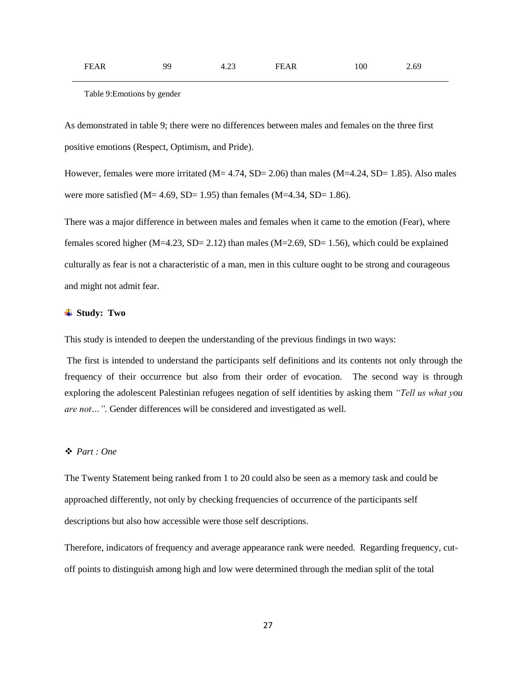| <b>FEAR</b> | ۵O | $\sim$<br>n<br>$\sim$<br>____ | FF<br>'EAR | 00 | ny,<br>4. U<br>. |
|-------------|----|-------------------------------|------------|----|------------------|
|             |    |                               |            |    |                  |

Table 9:Emotions by gender

As demonstrated in table 9; there were no differences between males and females on the three first positive emotions (Respect, Optimism, and Pride).

However, females were more irritated  $(M= 4.74, SD= 2.06)$  than males  $(M=4.24, SD= 1.85)$ . Also males were more satisfied ( $M= 4.69$ ,  $SD= 1.95$ ) than females ( $M=4.34$ ,  $SD= 1.86$ ).

There was a major difference in between males and females when it came to the emotion (Fear), where females scored higher  $(M=4.23, SD= 2.12)$  than males  $(M=2.69, SD= 1.56)$ , which could be explained culturally as fear is not a characteristic of a man, men in this culture ought to be strong and courageous and might not admit fear.

#### **Study: Two**

This study is intended to deepen the understanding of the previous findings in two ways:

The first is intended to understand the participants self definitions and its contents not only through the frequency of their occurrence but also from their order of evocation. The second way is through exploring the adolescent Palestinian refugees negation of self identities by asking them *"Tell us what you are not…".* Gender differences will be considered and investigated as well.

#### *Part : One*

The Twenty Statement being ranked from 1 to 20 could also be seen as a memory task and could be approached differently, not only by checking frequencies of occurrence of the participants self descriptions but also how accessible were those self descriptions.

Therefore, indicators of frequency and average appearance rank were needed. Regarding frequency, cutoff points to distinguish among high and low were determined through the median split of the total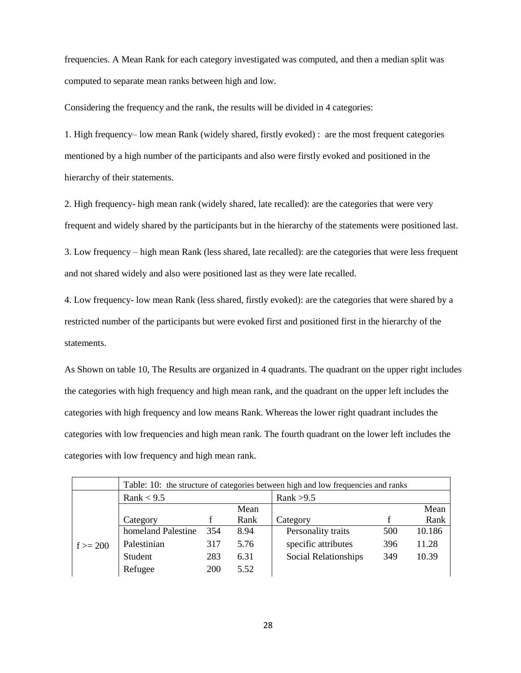frequencies. A Mean Rank for each category investigated was computed, and then a median split was computed to separate mean ranks between high and low.

Considering the frequency and the rank, the results will be divided in 4 categories:

1. High frequency– low mean Rank (widely shared, firstly evoked) : are the most frequent categories mentioned by a high number of the participants and also were firstly evoked and positioned in the hierarchy of their statements.

2. High frequency- high mean rank (widely shared, late recalled): are the categories that were very frequent and widely shared by the participants but in the hierarchy of the statements were positioned last.

3. Low frequency – high mean Rank (less shared, late recalled): are the categories that were less frequent and not shared widely and also were positioned last as they were late recalled.

4. Low frequency- low mean Rank (less shared, firstly evoked): are the categories that were shared by a restricted number of the participants but were evoked first and positioned first in the hierarchy of the statements.

As Shown on table 10, The Results are organized in 4 quadrants. The quadrant on the upper right includes the categories with high frequency and high mean rank, and the quadrant on the upper left includes the categories with high frequency and low means Rank. Whereas the lower right quadrant includes the categories with low frequencies and high mean rank. The fourth quadrant on the lower left includes the categories with low frequency and high mean rank.

|           | Table: 10: the structure of categories between high and low frequencies and ranks |     |      |                      |     |        |  |
|-----------|-----------------------------------------------------------------------------------|-----|------|----------------------|-----|--------|--|
|           | Rank $< 9.5$                                                                      |     |      | Rank $>9.5$          |     |        |  |
|           |                                                                                   |     | Mean |                      |     | Mean   |  |
|           | Category                                                                          |     | Rank | Category             |     | Rank   |  |
|           | homeland Palestine                                                                | 354 | 8.94 | Personality traits   | 500 | 10.186 |  |
| $f = 200$ | Palestinian                                                                       | 317 | 5.76 | specific attributes  | 396 | 11.28  |  |
|           | Student                                                                           | 283 | 6.31 | Social Relationships | 349 | 10.39  |  |
|           | Refugee                                                                           | 200 | 5.52 |                      |     |        |  |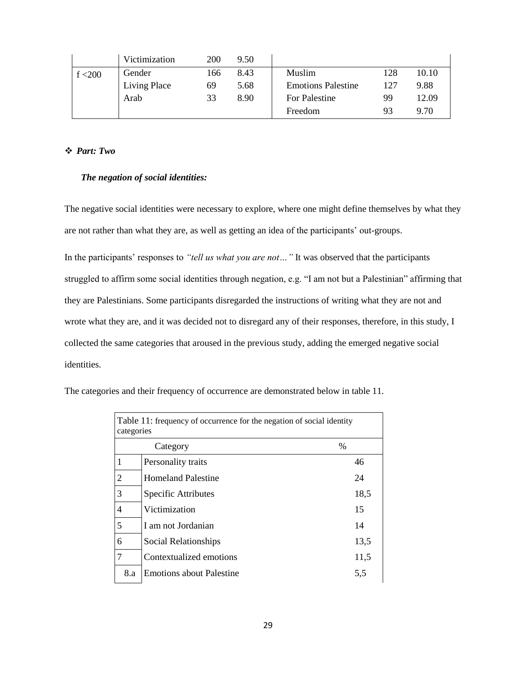|         | Victimization | 200 | 9.50 |                           |     |       |
|---------|---------------|-----|------|---------------------------|-----|-------|
| f < 200 | Gender        | 166 | 8.43 | Muslim                    | 128 | 10.10 |
|         | Living Place  | 69  | 5.68 | <b>Emotions Palestine</b> | 127 | 9.88  |
|         | Arab          | 33  | 8.90 | For Palestine             | 99  | 12.09 |
|         |               |     |      | Freedom                   | 93  | 9.70  |

#### *Part: Two*

#### *The negation of social identities:*

The negative social identities were necessary to explore, where one might define themselves by what they are not rather than what they are, as well as getting an idea of the participants' out-groups.

In the participants' responses to *"tell us what you are not…"* It was observed that the participants struggled to affirm some social identities through negation, e.g. "I am not but a Palestinian" affirming that they are Palestinians. Some participants disregarded the instructions of writing what they are not and wrote what they are, and it was decided not to disregard any of their responses, therefore, in this study, I collected the same categories that aroused in the previous study, adding the emerged negative social identities.

| Table 11: frequency of occurrence for the negation of social identity<br>categories |                                 |      |  |  |  |  |
|-------------------------------------------------------------------------------------|---------------------------------|------|--|--|--|--|
|                                                                                     | $\%$<br>Category                |      |  |  |  |  |
| $\mathbf{1}$                                                                        | Personality traits              | 46   |  |  |  |  |
| $\overline{2}$                                                                      | <b>Homeland Palestine</b>       | 24   |  |  |  |  |
| 3                                                                                   | Specific Attributes             | 18,5 |  |  |  |  |
| 4                                                                                   | Victimization                   | 15   |  |  |  |  |
| 5                                                                                   | I am not Jordanian              | 14   |  |  |  |  |
| 6                                                                                   | Social Relationships            | 13,5 |  |  |  |  |
| 7                                                                                   | Contextualized emotions         | 11,5 |  |  |  |  |
| 8.a                                                                                 | <b>Emotions about Palestine</b> | 5,5  |  |  |  |  |

The categories and their frequency of occurrence are demonstrated below in table 11.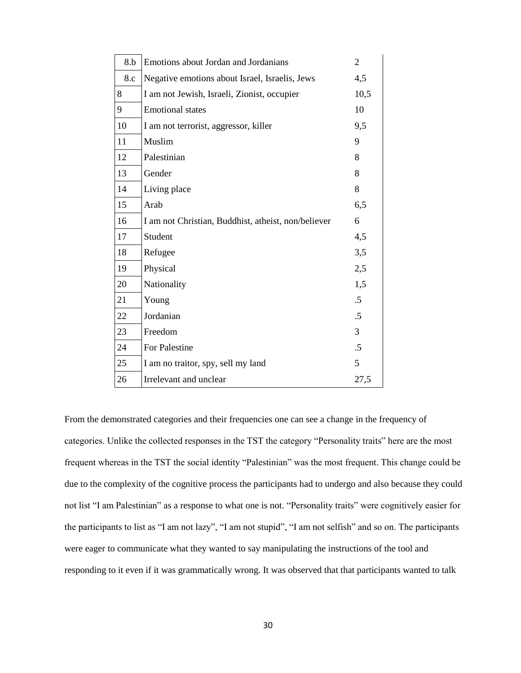| 8.b | Emotions about Jordan and Jordanians                | $\overline{2}$ |
|-----|-----------------------------------------------------|----------------|
| 8.c | Negative emotions about Israel, Israelis, Jews      | 4,5            |
| 8   | I am not Jewish, Israeli, Zionist, occupier         | 10,5           |
| 9   | <b>Emotional</b> states                             | 10             |
| 10  | I am not terrorist, aggressor, killer               | 9,5            |
| 11  | Muslim                                              | 9              |
| 12  | Palestinian                                         | 8              |
| 13  | Gender                                              | 8              |
| 14  | Living place                                        | 8              |
| 15  | Arab                                                | 6,5            |
| 16  | I am not Christian, Buddhist, atheist, non/believer | 6              |
| 17  | Student                                             | 4,5            |
| 18  | Refugee                                             | 3,5            |
| 19  | Physical                                            | 2,5            |
| 20  | Nationality                                         | 1,5            |
| 21  | Young                                               | $.5\,$         |
| 22  | Jordanian                                           | $.5\,$         |
| 23  | Freedom                                             | 3              |
| 24  | For Palestine                                       | $.5\,$         |
| 25  | I am no traitor, spy, sell my land                  | 5              |
| 26  | Irrelevant and unclear                              | 27,5           |

From the demonstrated categories and their frequencies one can see a change in the frequency of categories. Unlike the collected responses in the TST the category "Personality traits" here are the most frequent whereas in the TST the social identity "Palestinian" was the most frequent. This change could be due to the complexity of the cognitive process the participants had to undergo and also because they could not list "I am Palestinian" as a response to what one is not. "Personality traits" were cognitively easier for the participants to list as "I am not lazy", "I am not stupid", "I am not selfish" and so on. The participants were eager to communicate what they wanted to say manipulating the instructions of the tool and responding to it even if it was grammatically wrong. It was observed that that participants wanted to talk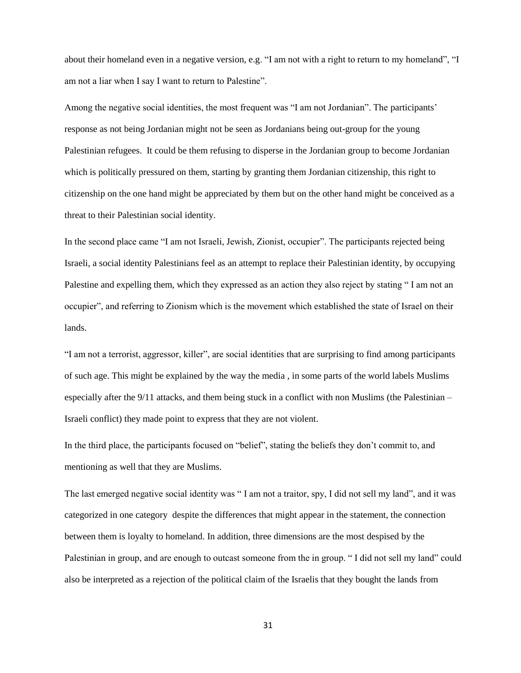about their homeland even in a negative version, e.g. "I am not with a right to return to my homeland", "I am not a liar when I say I want to return to Palestine".

Among the negative social identities, the most frequent was "I am not Jordanian". The participants' response as not being Jordanian might not be seen as Jordanians being out-group for the young Palestinian refugees. It could be them refusing to disperse in the Jordanian group to become Jordanian which is politically pressured on them, starting by granting them Jordanian citizenship, this right to citizenship on the one hand might be appreciated by them but on the other hand might be conceived as a threat to their Palestinian social identity.

In the second place came "I am not Israeli, Jewish, Zionist, occupier". The participants rejected being Israeli, a social identity Palestinians feel as an attempt to replace their Palestinian identity, by occupying Palestine and expelling them, which they expressed as an action they also reject by stating " I am not an occupier", and referring to Zionism which is the movement which established the state of Israel on their lands.

"I am not a terrorist, aggressor, killer", are social identities that are surprising to find among participants of such age. This might be explained by the way the media , in some parts of the world labels Muslims especially after the 9/11 attacks, and them being stuck in a conflict with non Muslims (the Palestinian – Israeli conflict) they made point to express that they are not violent.

In the third place, the participants focused on "belief", stating the beliefs they don't commit to, and mentioning as well that they are Muslims.

The last emerged negative social identity was " I am not a traitor, spy, I did not sell my land", and it was categorized in one category despite the differences that might appear in the statement, the connection between them is loyalty to homeland. In addition, three dimensions are the most despised by the Palestinian in group, and are enough to outcast someone from the in group. " I did not sell my land" could also be interpreted as a rejection of the political claim of the Israelis that they bought the lands from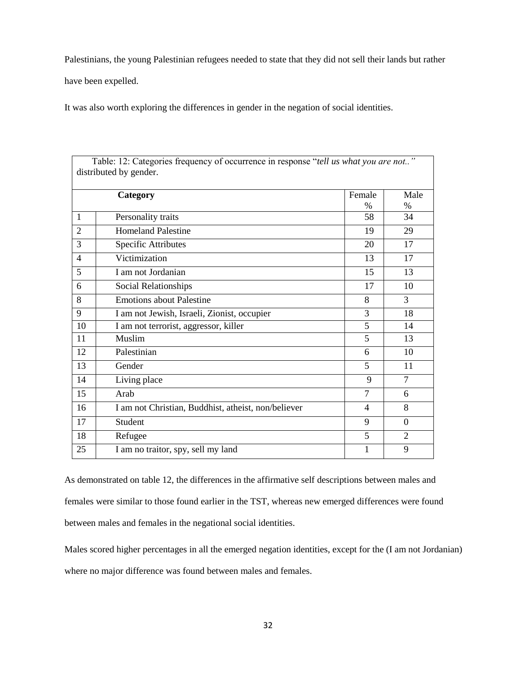Palestinians, the young Palestinian refugees needed to state that they did not sell their lands but rather

have been expelled.

It was also worth exploring the differences in gender in the negation of social identities.

| Table: 12: Categories frequency of occurrence in response "tell us what you are not"<br>distributed by gender. |                                                     |                     |                     |  |  |  |
|----------------------------------------------------------------------------------------------------------------|-----------------------------------------------------|---------------------|---------------------|--|--|--|
|                                                                                                                | Category                                            | Female              | Male                |  |  |  |
| $\mathbf{1}$                                                                                                   | Personality traits                                  | $\frac{0}{0}$<br>58 | $\frac{0}{0}$<br>34 |  |  |  |
| $\overline{2}$                                                                                                 | <b>Homeland Palestine</b>                           | 19                  | 29                  |  |  |  |
| 3                                                                                                              | <b>Specific Attributes</b>                          | 20                  | 17                  |  |  |  |
| $\overline{\mathcal{A}}$                                                                                       | Victimization                                       | 13                  | 17                  |  |  |  |
| 5                                                                                                              | I am not Jordanian                                  | 15                  | 13                  |  |  |  |
| 6                                                                                                              | Social Relationships                                | 17                  | 10                  |  |  |  |
| 8                                                                                                              | <b>Emotions about Palestine</b>                     | 8                   | 3                   |  |  |  |
| 9                                                                                                              | I am not Jewish, Israeli, Zionist, occupier         | 3                   | 18                  |  |  |  |
| 10                                                                                                             | I am not terrorist, aggressor, killer               | 5                   | 14                  |  |  |  |
| 11                                                                                                             | Muslim                                              | 5                   | 13                  |  |  |  |
| 12                                                                                                             | Palestinian                                         | 6                   | 10                  |  |  |  |
| 13                                                                                                             | Gender                                              | 5                   | 11                  |  |  |  |
| 14                                                                                                             | Living place                                        | 9                   | $\tau$              |  |  |  |
| 15                                                                                                             | Arab                                                | $\overline{7}$      | 6                   |  |  |  |
| 16                                                                                                             | I am not Christian, Buddhist, atheist, non/believer | 4                   | 8                   |  |  |  |
| 17                                                                                                             | Student                                             | 9                   | $\overline{0}$      |  |  |  |
| 18                                                                                                             | Refugee                                             | 5                   | $\overline{2}$      |  |  |  |
| 25                                                                                                             | I am no traitor, spy, sell my land                  | 1                   | 9                   |  |  |  |

As demonstrated on table 12, the differences in the affirmative self descriptions between males and females were similar to those found earlier in the TST, whereas new emerged differences were found between males and females in the negational social identities.

Males scored higher percentages in all the emerged negation identities, except for the (I am not Jordanian) where no major difference was found between males and females.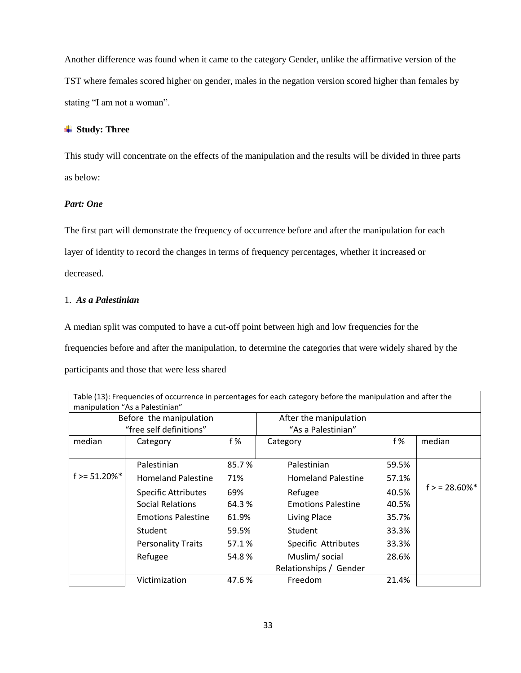Another difference was found when it came to the category Gender, unlike the affirmative version of the TST where females scored higher on gender, males in the negation version scored higher than females by stating "I am not a woman".

#### **Study: Three**

This study will concentrate on the effects of the manipulation and the results will be divided in three parts as below:

#### *Part: One*

The first part will demonstrate the frequency of occurrence before and after the manipulation for each layer of identity to record the changes in terms of frequency percentages, whether it increased or decreased.

#### 1. *As a Palestinian*

A median split was computed to have a cut-off point between high and low frequencies for the frequencies before and after the manipulation, to determine the categories that were widely shared by the participants and those that were less shared

| Table (13): Frequencies of occurrence in percentages for each category before the manipulation and after the<br>manipulation "As a Palestinian" |                            |       |                           |       |                            |  |  |
|-------------------------------------------------------------------------------------------------------------------------------------------------|----------------------------|-------|---------------------------|-------|----------------------------|--|--|
|                                                                                                                                                 | Before the manipulation    |       | After the manipulation    |       |                            |  |  |
|                                                                                                                                                 | "free self definitions"    |       | "As a Palestinian"        |       |                            |  |  |
| median                                                                                                                                          | Category                   | f %   | Category                  | f %   | median                     |  |  |
|                                                                                                                                                 | Palestinian                | 85.7% | Palestinian               | 59.5% |                            |  |  |
| $f = 51.20\%$ *                                                                                                                                 | <b>Homeland Palestine</b>  | 71%   | <b>Homeland Palestine</b> | 57.1% |                            |  |  |
|                                                                                                                                                 | <b>Specific Attributes</b> | 69%   | Refugee                   | 40.5% | $f > 28.60\%$ <sup>*</sup> |  |  |
|                                                                                                                                                 | <b>Social Relations</b>    | 64.3% | <b>Emotions Palestine</b> | 40.5% |                            |  |  |
|                                                                                                                                                 | <b>Emotions Palestine</b>  | 61.9% | Living Place              | 35.7% |                            |  |  |
|                                                                                                                                                 | Student                    | 59.5% | Student                   | 33.3% |                            |  |  |
|                                                                                                                                                 | <b>Personality Traits</b>  | 57.1% | Specific Attributes       | 33.3% |                            |  |  |
|                                                                                                                                                 | Refugee                    | 54.8% | Muslim/social             | 28.6% |                            |  |  |
|                                                                                                                                                 |                            |       | Relationships / Gender    |       |                            |  |  |
|                                                                                                                                                 | Victimization              | 47.6% | Freedom                   | 21.4% |                            |  |  |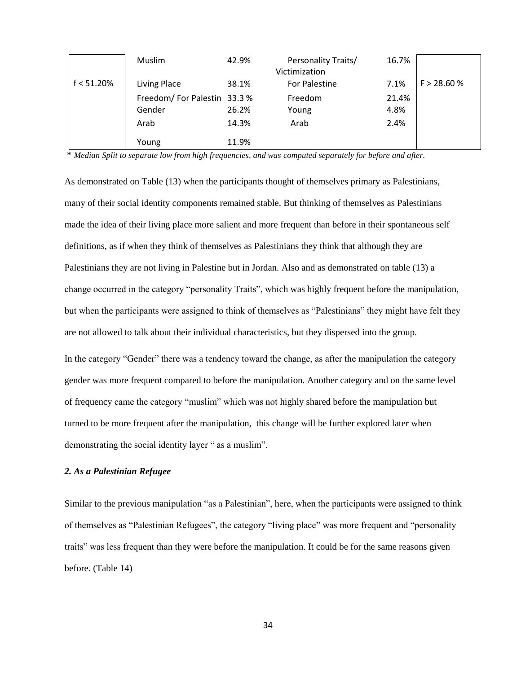| f < 51.20% | Muslim<br>Living Place                       | 42.9%<br>38.1% | Personality Traits/<br>Victimization<br><b>For Palestine</b> | 16.7%<br>7.1%         | F > 28.60 % |
|------------|----------------------------------------------|----------------|--------------------------------------------------------------|-----------------------|-------------|
|            | Freedom/For Palestin 33.3%<br>Gender<br>Arab | 26.2%<br>14.3% | Freedom<br>Young<br>Arab                                     | 21.4%<br>4.8%<br>2.4% |             |
|            | Young                                        | 11.9%          |                                                              |                       |             |

\* *Median Split to separate low from high frequencies, and was computed separately for before and after.*

As demonstrated on Table (13) when the participants thought of themselves primary as Palestinians, many of their social identity components remained stable. But thinking of themselves as Palestinians made the idea of their living place more salient and more frequent than before in their spontaneous self definitions, as if when they think of themselves as Palestinians they think that although they are Palestinians they are not living in Palestine but in Jordan. Also and as demonstrated on table (13) a change occurred in the category "personality Traits", which was highly frequent before the manipulation, but when the participants were assigned to think of themselves as "Palestinians" they might have felt they are not allowed to talk about their individual characteristics, but they dispersed into the group.

In the category "Gender" there was a tendency toward the change, as after the manipulation the category gender was more frequent compared to before the manipulation. Another category and on the same level of frequency came the category "muslim" which was not highly shared before the manipulation but turned to be more frequent after the manipulation, this change will be further explored later when demonstrating the social identity layer " as a muslim".

#### *2. As a Palestinian Refugee*

Similar to the previous manipulation "as a Palestinian", here, when the participants were assigned to think of themselves as "Palestinian Refugees", the category "living place" was more frequent and "personality traits" was less frequent than they were before the manipulation. It could be for the same reasons given before. (Table 14)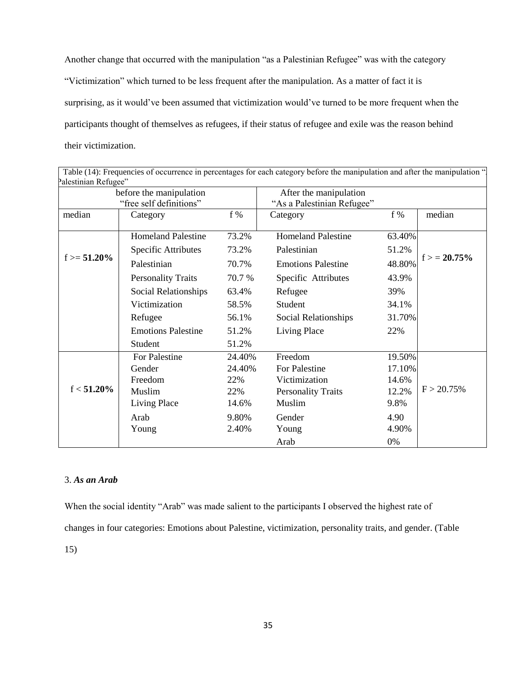Another change that occurred with the manipulation "as a Palestinian Refugee" was with the category "Victimization" which turned to be less frequent after the manipulation. As a matter of fact it is surprising, as it would've been assumed that victimization would've turned to be more frequent when the participants thought of themselves as refugees, if their status of refugee and exile was the reason behind their victimization.

| Palestinian Refugee" | before the manipulation   |        | After the manipulation     |        |               |
|----------------------|---------------------------|--------|----------------------------|--------|---------------|
|                      | "free self definitions"   |        | "As a Palestinian Refugee" |        |               |
| median               | Category                  | $f\%$  | Category                   | $f\%$  | median        |
|                      | <b>Homeland Palestine</b> | 73.2%  | <b>Homeland Palestine</b>  | 63.40% |               |
|                      | Specific Attributes       | 73.2%  | Palestinian                | 51.2%  |               |
| $f = 51.20\%$        | Palestinian               | 70.7%  | <b>Emotions Palestine</b>  | 48.80% | $f > 20.75\%$ |
|                      | <b>Personality Traits</b> | 70.7%  | Specific Attributes        | 43.9%  |               |
|                      | Social Relationships      | 63.4%  | Refugee                    | 39%    |               |
|                      | Victimization             | 58.5%  | Student                    | 34.1%  |               |
|                      | Refugee                   | 56.1%  | Social Relationships       | 31.70% |               |
|                      | <b>Emotions Palestine</b> | 51.2%  | Living Place               | 22%    |               |
|                      | Student                   | 51.2%  |                            |        |               |
|                      | For Palestine             | 24.40% | Freedom                    | 19.50% |               |
|                      | Gender                    | 24.40% | For Palestine              | 17.10% |               |
|                      | Freedom                   | 22%    | Victimization              | 14.6%  |               |
| $f < 51.20\%$        | Muslim                    | 22%    | <b>Personality Traits</b>  | 12.2%  | $F > 20.75\%$ |
|                      | Living Place              | 14.6%  | Muslim                     | 9.8%   |               |
|                      | Arab                      | 9.80%  | Gender                     | 4.90   |               |
|                      | Young                     | 2.40%  | Young                      | 4.90%  |               |
|                      |                           |        | Arab                       | 0%     |               |

# $\Gamma$ able (14): Frequencies of occurrence in percentages for each category before the manipulation and after the manipulation  $\Gamma$

#### 3. *As an Arab*

When the social identity "Arab" was made salient to the participants I observed the highest rate of changes in four categories: Emotions about Palestine, victimization, personality traits, and gender. (Table 15)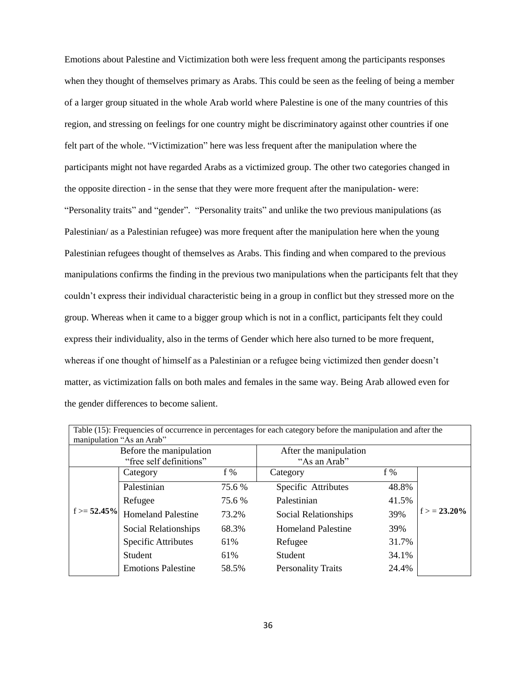Emotions about Palestine and Victimization both were less frequent among the participants responses when they thought of themselves primary as Arabs. This could be seen as the feeling of being a member of a larger group situated in the whole Arab world where Palestine is one of the many countries of this region, and stressing on feelings for one country might be discriminatory against other countries if one felt part of the whole. "Victimization" here was less frequent after the manipulation where the participants might not have regarded Arabs as a victimized group. The other two categories changed in the opposite direction - in the sense that they were more frequent after the manipulation- were: "Personality traits" and "gender". "Personality traits" and unlike the two previous manipulations (as Palestinian/ as a Palestinian refugee) was more frequent after the manipulation here when the young Palestinian refugees thought of themselves as Arabs. This finding and when compared to the previous manipulations confirms the finding in the previous two manipulations when the participants felt that they couldn't express their individual characteristic being in a group in conflict but they stressed more on the group. Whereas when it came to a bigger group which is not in a conflict, participants felt they could express their individuality, also in the terms of Gender which here also turned to be more frequent, whereas if one thought of himself as a Palestinian or a refugee being victimized then gender doesn't matter, as victimization falls on both males and females in the same way. Being Arab allowed even for the gender differences to become salient.

| Table (15): Frequencies of occurrence in percentages for each category before the manipulation and after the<br>manipulation "As an Arab" |                           |        |                           |       |               |  |  |
|-------------------------------------------------------------------------------------------------------------------------------------------|---------------------------|--------|---------------------------|-------|---------------|--|--|
|                                                                                                                                           | Before the manipulation   |        | After the manipulation    |       |               |  |  |
|                                                                                                                                           | "free self definitions"   |        | "As an Arab"              |       |               |  |  |
|                                                                                                                                           | Category                  | f %    | Category                  | f %   |               |  |  |
|                                                                                                                                           | Palestinian               | 75.6 % | Specific Attributes       | 48.8% |               |  |  |
|                                                                                                                                           | Refugee                   | 75.6 % | Palestinian               | 41.5% |               |  |  |
| $f = 52.45\%$                                                                                                                             | <b>Homeland Palestine</b> | 73.2%  | Social Relationships      | 39%   | $f > 23.20\%$ |  |  |
|                                                                                                                                           | Social Relationships      | 68.3%  | <b>Homeland Palestine</b> | 39%   |               |  |  |
|                                                                                                                                           | Specific Attributes       | 61%    | Refugee                   | 31.7% |               |  |  |
|                                                                                                                                           | Student                   | 61%    | Student                   | 34.1% |               |  |  |
|                                                                                                                                           | <b>Emotions Palestine</b> | 58.5%  | <b>Personality Traits</b> | 24.4% |               |  |  |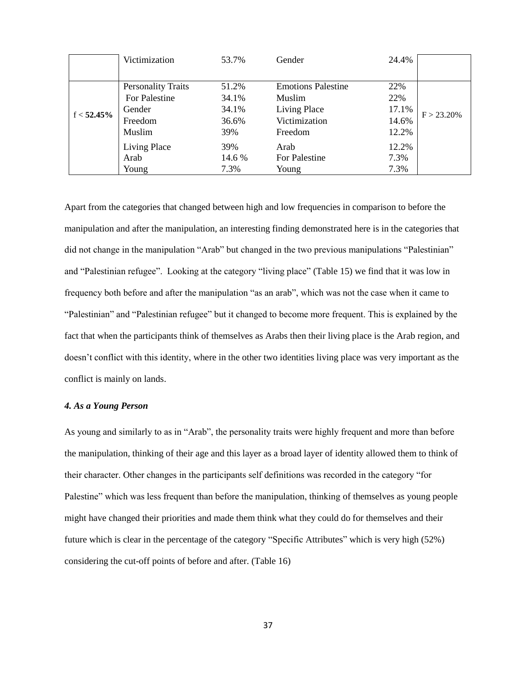|               | Victimization             | 53.7%  | Gender                    | 24.4% |               |
|---------------|---------------------------|--------|---------------------------|-------|---------------|
|               |                           |        |                           |       |               |
|               | <b>Personality Traits</b> | 51.2%  | <b>Emotions Palestine</b> | 22%   |               |
|               | For Palestine             | 34.1%  | <b>Muslim</b>             | 22%   |               |
| $f < 52.45\%$ | Gender                    | 34.1%  | Living Place              | 17.1% | $F > 23.20\%$ |
|               | Freedom                   | 36.6%  | Victimization             | 14.6% |               |
|               | Muslim                    | 39%    | Freedom                   | 12.2% |               |
|               | Living Place              | 39%    | Arab                      | 12.2% |               |
|               | Arab                      | 14.6 % | For Palestine             | 7.3%  |               |
|               | Young                     | 7.3%   | Young                     | 7.3%  |               |

Apart from the categories that changed between high and low frequencies in comparison to before the manipulation and after the manipulation, an interesting finding demonstrated here is in the categories that did not change in the manipulation "Arab" but changed in the two previous manipulations "Palestinian" and "Palestinian refugee". Looking at the category "living place" (Table 15) we find that it was low in frequency both before and after the manipulation "as an arab", which was not the case when it came to "Palestinian" and "Palestinian refugee" but it changed to become more frequent. This is explained by the fact that when the participants think of themselves as Arabs then their living place is the Arab region, and doesn't conflict with this identity, where in the other two identities living place was very important as the conflict is mainly on lands.

#### *4. As a Young Person*

As young and similarly to as in "Arab", the personality traits were highly frequent and more than before the manipulation, thinking of their age and this layer as a broad layer of identity allowed them to think of their character. Other changes in the participants self definitions was recorded in the category "for Palestine" which was less frequent than before the manipulation, thinking of themselves as young people might have changed their priorities and made them think what they could do for themselves and their future which is clear in the percentage of the category "Specific Attributes" which is very high (52%) considering the cut-off points of before and after. (Table 16)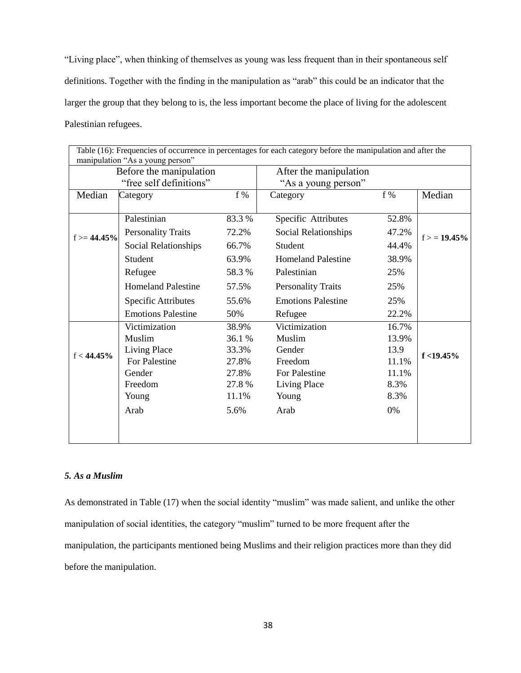"Living place", when thinking of themselves as young was less frequent than in their spontaneous self definitions. Together with the finding in the manipulation as "arab" this could be an indicator that the larger the group that they belong to is, the less important become the place of living for the adolescent Palestinian refugees.

|               | manipulation "As a young person" |        | Table (16): Frequencies of occurrence in percentages for each category before the manipulation and after the |       |               |
|---------------|----------------------------------|--------|--------------------------------------------------------------------------------------------------------------|-------|---------------|
|               | Before the manipulation          |        | After the manipulation                                                                                       |       |               |
|               | "free self definitions"          |        | "As a young person"                                                                                          |       |               |
| Median        | Category                         | $f\%$  | Category                                                                                                     | $f\%$ | Median        |
|               |                                  |        |                                                                                                              |       |               |
|               | Palestinian                      | 83.3 % | Specific Attributes                                                                                          | 52.8% |               |
| $f = 44.45\%$ | <b>Personality Traits</b>        | 72.2%  | Social Relationships                                                                                         | 47.2% | $f > 19.45\%$ |
|               | Social Relationships             | 66.7%  | Student                                                                                                      | 44.4% |               |
|               | Student                          | 63.9%  | <b>Homeland Palestine</b>                                                                                    | 38.9% |               |
|               | Refugee                          | 58.3%  | Palestinian                                                                                                  | 25%   |               |
|               | <b>Homeland Palestine</b>        | 57.5%  | <b>Personality Traits</b>                                                                                    | 25%   |               |
|               | <b>Specific Attributes</b>       | 55.6%  | <b>Emotions Palestine</b>                                                                                    | 25%   |               |
|               | <b>Emotions Palestine</b>        | 50%    | Refugee                                                                                                      | 22.2% |               |
|               | Victimization                    | 38.9%  | Victimization                                                                                                | 16.7% |               |
|               | Muslim                           | 36.1 % | Muslim                                                                                                       | 13.9% |               |
| $f < 44.45\%$ | Living Place                     | 33.3%  | Gender                                                                                                       | 13.9  | $f < 19.45\%$ |
|               | For Palestine                    | 27.8%  | Freedom                                                                                                      | 11.1% |               |
|               | Gender                           | 27.8%  | For Palestine                                                                                                | 11.1% |               |
|               | Freedom                          | 27.8 % | Living Place                                                                                                 | 8.3%  |               |
|               | Young                            | 11.1%  | Young                                                                                                        | 8.3%  |               |
|               | Arab                             | 5.6%   | Arab                                                                                                         | 0%    |               |
|               |                                  |        |                                                                                                              |       |               |
|               |                                  |        |                                                                                                              |       |               |

#### *5. As a Muslim*

As demonstrated in Table (17) when the social identity "muslim" was made salient, and unlike the other manipulation of social identities, the category "muslim" turned to be more frequent after the manipulation, the participants mentioned being Muslims and their religion practices more than they did before the manipulation.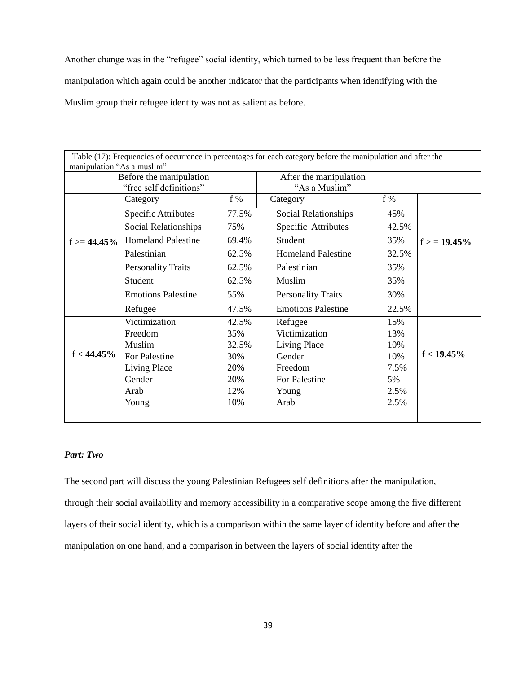Another change was in the "refugee" social identity, which turned to be less frequent than before the manipulation which again could be another indicator that the participants when identifying with the Muslim group their refugee identity was not as salient as before.

| Table (17): Frequencies of occurrence in percentages for each category before the manipulation and after the<br>manipulation "As a muslim" |                                                    |       |                                         |       |               |  |  |
|--------------------------------------------------------------------------------------------------------------------------------------------|----------------------------------------------------|-------|-----------------------------------------|-------|---------------|--|--|
|                                                                                                                                            | Before the manipulation<br>"free self definitions" |       | After the manipulation<br>"As a Muslim" |       |               |  |  |
|                                                                                                                                            | Category                                           | $f\%$ | Category                                | f%    |               |  |  |
|                                                                                                                                            | <b>Specific Attributes</b>                         | 77.5% | Social Relationships                    | 45%   |               |  |  |
|                                                                                                                                            | Social Relationships                               | 75%   | Specific Attributes                     | 42.5% |               |  |  |
| $f = 44.45\%$                                                                                                                              | <b>Homeland Palestine</b>                          | 69.4% | Student                                 | 35%   | $f = 19.45\%$ |  |  |
|                                                                                                                                            | Palestinian                                        | 62.5% | <b>Homeland Palestine</b>               | 32.5% |               |  |  |
|                                                                                                                                            | <b>Personality Traits</b>                          | 62.5% | Palestinian                             | 35%   |               |  |  |
|                                                                                                                                            | Student                                            | 62.5% | Muslim                                  | 35%   |               |  |  |
|                                                                                                                                            | <b>Emotions Palestine</b>                          | 55%   | <b>Personality Traits</b>               | 30%   |               |  |  |
|                                                                                                                                            | Refugee                                            | 47.5% | <b>Emotions Palestine</b>               | 22.5% |               |  |  |
|                                                                                                                                            | Victimization                                      | 42.5% | Refugee                                 | 15%   |               |  |  |
|                                                                                                                                            | Freedom                                            | 35%   | Victimization                           | 13%   |               |  |  |
|                                                                                                                                            | Muslim                                             | 32.5% | Living Place                            | 10%   |               |  |  |
| $f < 44.45\%$                                                                                                                              | For Palestine                                      | 30%   | Gender                                  | 10%   | $f < 19.45\%$ |  |  |
|                                                                                                                                            | Living Place                                       | 20%   | Freedom                                 | 7.5%  |               |  |  |
|                                                                                                                                            | Gender                                             | 20%   | For Palestine                           | 5%    |               |  |  |
|                                                                                                                                            | Arab                                               | 12%   | Young                                   | 2.5%  |               |  |  |
|                                                                                                                                            | Young                                              | 10%   | Arab                                    | 2.5%  |               |  |  |
|                                                                                                                                            |                                                    |       |                                         |       |               |  |  |

#### *Part: Two*

The second part will discuss the young Palestinian Refugees self definitions after the manipulation, through their social availability and memory accessibility in a comparative scope among the five different layers of their social identity, which is a comparison within the same layer of identity before and after the manipulation on one hand, and a comparison in between the layers of social identity after the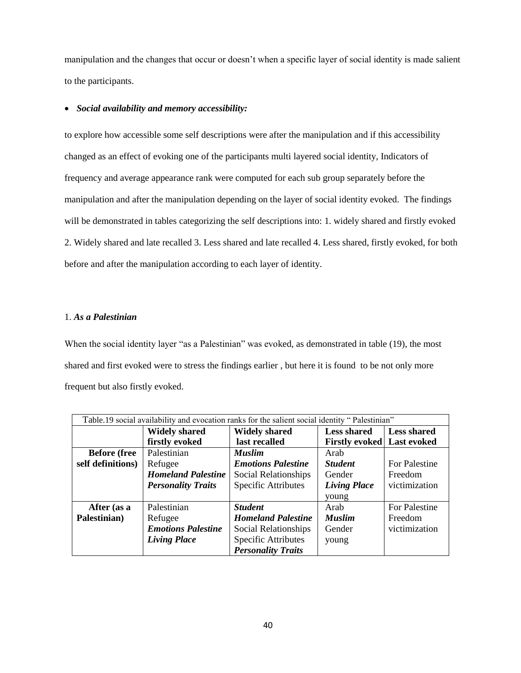manipulation and the changes that occur or doesn't when a specific layer of social identity is made salient to the participants.

#### *Social availability and memory accessibility:*

to explore how accessible some self descriptions were after the manipulation and if this accessibility changed as an effect of evoking one of the participants multi layered social identity, Indicators of frequency and average appearance rank were computed for each sub group separately before the manipulation and after the manipulation depending on the layer of social identity evoked. The findings will be demonstrated in tables categorizing the self descriptions into: 1. widely shared and firstly evoked 2. Widely shared and late recalled 3. Less shared and late recalled 4. Less shared, firstly evoked, for both before and after the manipulation according to each layer of identity.

#### 1. *As a Palestinian*

When the social identity layer "as a Palestinian" was evoked, as demonstrated in table (19), the most shared and first evoked were to stress the findings earlier , but here it is found to be not only more frequent but also firstly evoked.

| Table.19 social availability and evocation ranks for the salient social identity "Palestinian" |                           |                            |                                   |                    |
|------------------------------------------------------------------------------------------------|---------------------------|----------------------------|-----------------------------------|--------------------|
|                                                                                                | <b>Widely shared</b>      | <b>Widely shared</b>       | <b>Less shared</b>                | <b>Less shared</b> |
|                                                                                                | firstly evoked            | last recalled              | <b>Firstly evoked</b> Last evoked |                    |
| <b>Before</b> (free                                                                            | Palestinian               | <b>Muslim</b>              | Arab                              |                    |
| self definitions)                                                                              | Refugee                   | <b>Emotions Palestine</b>  | <b>Student</b>                    | For Palestine      |
|                                                                                                | <b>Homeland Palestine</b> | Social Relationships       | Gender                            | Freedom            |
|                                                                                                | <b>Personality Traits</b> | <b>Specific Attributes</b> | <b>Living Place</b>               | victimization      |
|                                                                                                |                           |                            | young                             |                    |
| After (as a                                                                                    | Palestinian               | <b>Student</b>             | Arab                              | For Palestine      |
| Palestinian)                                                                                   | Refugee                   | <b>Homeland Palestine</b>  | <b>Muslim</b>                     | Freedom            |
|                                                                                                | <b>Emotions Palestine</b> | Social Relationships       | Gender                            | victimization      |
|                                                                                                | <b>Living Place</b>       | <b>Specific Attributes</b> | young                             |                    |
|                                                                                                |                           | <b>Personality Traits</b>  |                                   |                    |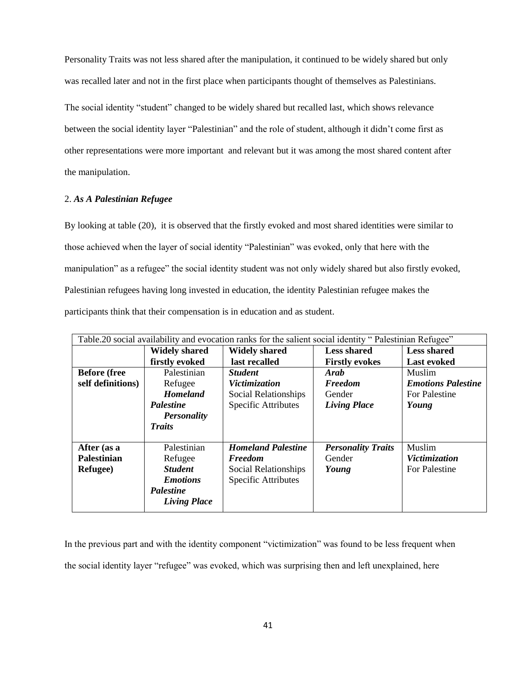Personality Traits was not less shared after the manipulation, it continued to be widely shared but only was recalled later and not in the first place when participants thought of themselves as Palestinians.

The social identity "student" changed to be widely shared but recalled last, which shows relevance between the social identity layer "Palestinian" and the role of student, although it didn't come first as other representations were more important and relevant but it was among the most shared content after the manipulation.

#### 2. *As A Palestinian Refugee*

By looking at table (20), it is observed that the firstly evoked and most shared identities were similar to those achieved when the layer of social identity "Palestinian" was evoked, only that here with the manipulation" as a refugee" the social identity student was not only widely shared but also firstly evoked, Palestinian refugees having long invested in education, the identity Palestinian refugee makes the participants think that their compensation is in education and as student.

| Table.20 social availability and evocation ranks for the salient social identity "Palestinian Refugee" |                      |                            |                           |                           |
|--------------------------------------------------------------------------------------------------------|----------------------|----------------------------|---------------------------|---------------------------|
|                                                                                                        | <b>Widely shared</b> | <b>Widely shared</b>       | <b>Less shared</b>        | <b>Less shared</b>        |
|                                                                                                        | firstly evoked       | last recalled              | <b>Firstly evokes</b>     | <b>Last evoked</b>        |
| <b>Before</b> (free                                                                                    | Palestinian          | <b>Student</b>             | Arab                      | Muslim                    |
| self definitions)                                                                                      | Refugee              | <i>Victimization</i>       | <b>Freedom</b>            | <b>Emotions Palestine</b> |
|                                                                                                        | <b>Homeland</b>      | Social Relationships       | Gender                    | For Palestine             |
|                                                                                                        | <b>Palestine</b>     | <b>Specific Attributes</b> | <b>Living Place</b>       | Young                     |
|                                                                                                        | <b>Personality</b>   |                            |                           |                           |
|                                                                                                        | <b>Traits</b>        |                            |                           |                           |
| After (as a                                                                                            | Palestinian          | <b>Homeland Palestine</b>  | <b>Personality Traits</b> | Muslim                    |
| <b>Palestinian</b>                                                                                     | Refugee              | <b>Freedom</b>             | Gender                    | Victimization             |
| Refugee)                                                                                               | <b>Student</b>       | Social Relationships       | Young                     | For Palestine             |
|                                                                                                        | <b>Emotions</b>      | <b>Specific Attributes</b> |                           |                           |
|                                                                                                        | <b>Palestine</b>     |                            |                           |                           |
|                                                                                                        | <b>Living Place</b>  |                            |                           |                           |

In the previous part and with the identity component "victimization" was found to be less frequent when the social identity layer "refugee" was evoked, which was surprising then and left unexplained, here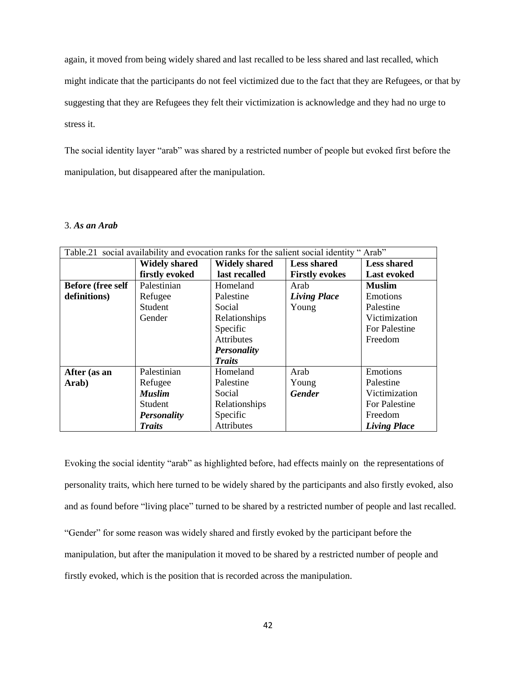again, it moved from being widely shared and last recalled to be less shared and last recalled, which might indicate that the participants do not feel victimized due to the fact that they are Refugees, or that by suggesting that they are Refugees they felt their victimization is acknowledge and they had no urge to stress it.

The social identity layer "arab" was shared by a restricted number of people but evoked first before the manipulation, but disappeared after the manipulation.

#### 3. *As an Arab*

| Table.21 social availability and evocation ranks for the salient social identity "Arab" |                      |                      |                       |                     |
|-----------------------------------------------------------------------------------------|----------------------|----------------------|-----------------------|---------------------|
|                                                                                         | <b>Widely shared</b> | <b>Widely shared</b> | <b>Less shared</b>    | <b>Less shared</b>  |
|                                                                                         | firstly evoked       | last recalled        | <b>Firstly evokes</b> | <b>Last evoked</b>  |
| <b>Before (free self</b>                                                                | Palestinian          | Homeland             | Arab                  | <b>Muslim</b>       |
| definitions)                                                                            | Refugee              | Palestine            | <b>Living Place</b>   | Emotions            |
|                                                                                         | Student              | Social               | Young                 | Palestine           |
|                                                                                         | Gender               | Relationships        |                       | Victimization       |
|                                                                                         |                      | Specific             |                       | For Palestine       |
|                                                                                         |                      | Attributes           |                       | Freedom             |
|                                                                                         |                      | <b>Personality</b>   |                       |                     |
|                                                                                         |                      | <b>Traits</b>        |                       |                     |
| After (as an                                                                            | Palestinian          | Homeland             | Arab                  | Emotions            |
| Arab)                                                                                   | Refugee              | Palestine            | Young                 | Palestine           |
|                                                                                         | <b>Muslim</b>        | Social               | <b>Gender</b>         | Victimization       |
|                                                                                         | Student              | Relationships        |                       | For Palestine       |
|                                                                                         | <b>Personality</b>   | Specific             |                       | Freedom             |
|                                                                                         | <b>Traits</b>        | Attributes           |                       | <b>Living Place</b> |

Evoking the social identity "arab" as highlighted before, had effects mainly on the representations of personality traits, which here turned to be widely shared by the participants and also firstly evoked, also and as found before "living place" turned to be shared by a restricted number of people and last recalled. "Gender" for some reason was widely shared and firstly evoked by the participant before the manipulation, but after the manipulation it moved to be shared by a restricted number of people and firstly evoked, which is the position that is recorded across the manipulation.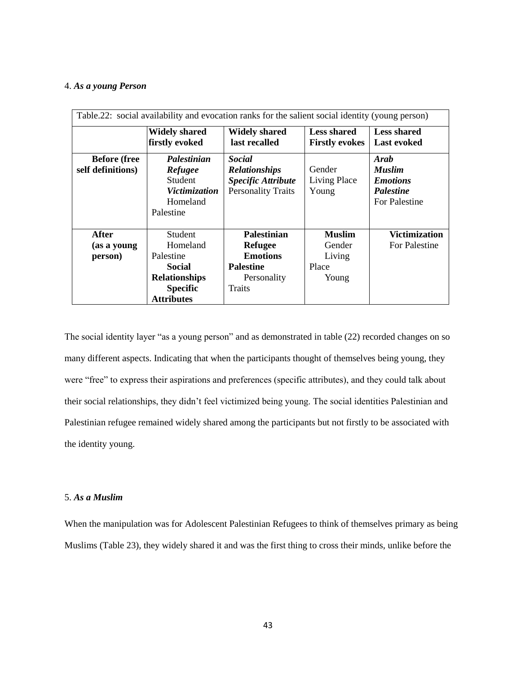#### 4. *As a young Person*

| Table.22: social availability and evocation ranks for the salient social identity (young person) |                                                                                           |                                                                                                 |                                             |                                                                                      |
|--------------------------------------------------------------------------------------------------|-------------------------------------------------------------------------------------------|-------------------------------------------------------------------------------------------------|---------------------------------------------|--------------------------------------------------------------------------------------|
|                                                                                                  | <b>Widely shared</b><br>firstly evoked                                                    | <b>Widely shared</b><br>last recalled                                                           | <b>Less shared</b><br><b>Firstly evokes</b> | <b>Less shared</b><br><b>Last evoked</b>                                             |
| <b>Before</b> (free<br>self definitions)                                                         | Palestinian<br><b>Refugee</b><br>Student<br><i>Victimization</i><br>Homeland<br>Palestine | <b>Social</b><br><b>Relationships</b><br><b>Specific Attribute</b><br><b>Personality Traits</b> | Gender<br>Living Place<br>Young             | Arab<br><b>Muslim</b><br><b>Emotions</b><br><i>Palestine</i><br><b>For Palestine</b> |
| After                                                                                            | <b>Student</b>                                                                            | <b>Palestinian</b>                                                                              | <b>Muslim</b>                               | <b>Victimization</b>                                                                 |
| (as a young                                                                                      | Homeland                                                                                  | <b>Refugee</b>                                                                                  | Gender                                      | For Palestine                                                                        |
| person)                                                                                          | Palestine                                                                                 | <b>Emotions</b>                                                                                 | Living                                      |                                                                                      |
|                                                                                                  | Social                                                                                    | <b>Palestine</b>                                                                                | Place                                       |                                                                                      |
|                                                                                                  | <b>Relationships</b>                                                                      | Personality                                                                                     | Young                                       |                                                                                      |
|                                                                                                  | <b>Specific</b>                                                                           | Traits                                                                                          |                                             |                                                                                      |
|                                                                                                  | <b>Attributes</b>                                                                         |                                                                                                 |                                             |                                                                                      |

The social identity layer "as a young person" and as demonstrated in table (22) recorded changes on so many different aspects. Indicating that when the participants thought of themselves being young, they were "free" to express their aspirations and preferences (specific attributes), and they could talk about their social relationships, they didn't feel victimized being young. The social identities Palestinian and Palestinian refugee remained widely shared among the participants but not firstly to be associated with the identity young.

#### 5. *As a Muslim*

When the manipulation was for Adolescent Palestinian Refugees to think of themselves primary as being Muslims (Table 23), they widely shared it and was the first thing to cross their minds, unlike before the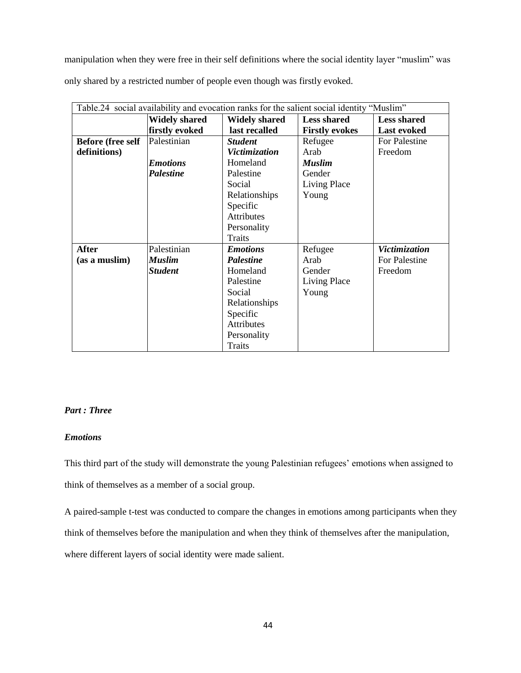manipulation when they were free in their self definitions where the social identity layer "muslim" was only shared by a restricted number of people even though was firstly evoked.

| Table.24 social availability and evocation ranks for the salient social identity "Muslim" |                      |                      |                       |                    |
|-------------------------------------------------------------------------------------------|----------------------|----------------------|-----------------------|--------------------|
|                                                                                           | <b>Widely shared</b> | <b>Widely shared</b> | <b>Less shared</b>    | <b>Less shared</b> |
|                                                                                           | firstly evoked       | last recalled        | <b>Firstly evokes</b> | <b>Last evoked</b> |
| <b>Before (free self</b>                                                                  | Palestinian          | <b>Student</b>       | Refugee               | For Palestine      |
| definitions)                                                                              |                      | Victimization        | Arab                  | Freedom            |
|                                                                                           | <b>Emotions</b>      | Homeland             | <b>Muslim</b>         |                    |
|                                                                                           | <b>Palestine</b>     | Palestine            | Gender                |                    |
|                                                                                           |                      | Social               | Living Place          |                    |
|                                                                                           |                      | Relationships        | Young                 |                    |
|                                                                                           |                      | Specific             |                       |                    |
|                                                                                           |                      | <b>Attributes</b>    |                       |                    |
|                                                                                           |                      | Personality          |                       |                    |
|                                                                                           |                      | Traits               |                       |                    |
| <b>After</b>                                                                              | Palestinian          | <b>Emotions</b>      | Refugee               | Victimization      |
| (as a muslim)                                                                             | Muslim               | <b>Palestine</b>     | Arab                  | For Palestine      |
|                                                                                           | <b>Student</b>       | Homeland             | Gender                | Freedom            |
|                                                                                           |                      | Palestine            | Living Place          |                    |
|                                                                                           |                      | Social               | Young                 |                    |
|                                                                                           |                      | Relationships        |                       |                    |
|                                                                                           |                      | Specific             |                       |                    |
|                                                                                           |                      | Attributes           |                       |                    |
|                                                                                           |                      | Personality          |                       |                    |
|                                                                                           |                      | Traits               |                       |                    |

#### *Part : Three*

#### *Emotions*

This third part of the study will demonstrate the young Palestinian refugees' emotions when assigned to think of themselves as a member of a social group.

A paired-sample t-test was conducted to compare the changes in emotions among participants when they think of themselves before the manipulation and when they think of themselves after the manipulation, where different layers of social identity were made salient.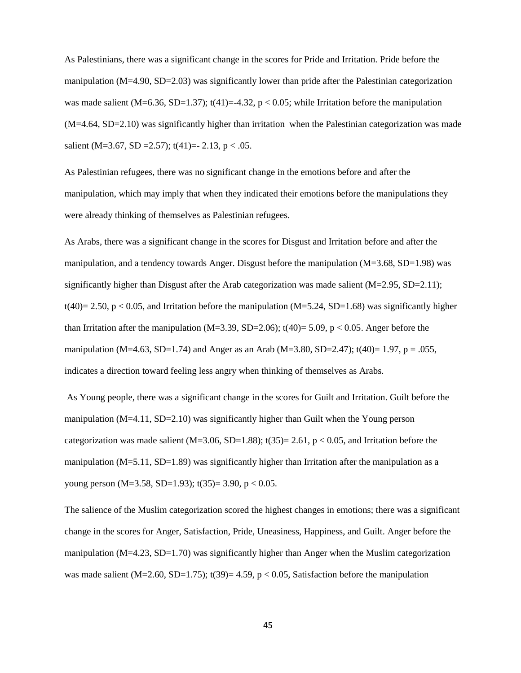As Palestinians, there was a significant change in the scores for Pride and Irritation. Pride before the manipulation (M=4.90, SD=2.03) was significantly lower than pride after the Palestinian categorization was made salient (M=6.36, SD=1.37);  $t(41)=-4.32$ ,  $p < 0.05$ ; while Irritation before the manipulation (M=4.64, SD=2.10) was significantly higher than irritation when the Palestinian categorization was made salient (M=3.67, SD = 2.57); t(41) = - 2.13, p < .05.

As Palestinian refugees, there was no significant change in the emotions before and after the manipulation, which may imply that when they indicated their emotions before the manipulations they were already thinking of themselves as Palestinian refugees.

As Arabs, there was a significant change in the scores for Disgust and Irritation before and after the manipulation, and a tendency towards Anger. Disgust before the manipulation  $(M=3.68, SD=1.98)$  was significantly higher than Disgust after the Arab categorization was made salient  $(M=2.95, SD=2.11)$ ; t(40)= 2.50, p < 0.05, and Irritation before the manipulation (M=5.24, SD=1.68) was significantly higher than Irritation after the manipulation (M=3.39, SD=2.06); t(40)= 5.09, p < 0.05. Anger before the manipulation (M=4.63, SD=1.74) and Anger as an Arab (M=3.80, SD=2.47); t(40)= 1.97, p = .055, indicates a direction toward feeling less angry when thinking of themselves as Arabs.

As Young people, there was a significant change in the scores for Guilt and Irritation. Guilt before the manipulation  $(M=4.11, SD=2.10)$  was significantly higher than Guilt when the Young person categorization was made salient (M=3.06, SD=1.88); t(35)= 2.61, p < 0.05, and Irritation before the manipulation ( $M=5.11$ ,  $SD=1.89$ ) was significantly higher than Irritation after the manipulation as a young person (M=3.58, SD=1.93);  $t(35)=3.90, p < 0.05$ .

The salience of the Muslim categorization scored the highest changes in emotions; there was a significant change in the scores for Anger, Satisfaction, Pride, Uneasiness, Happiness, and Guilt. Anger before the manipulation (M=4.23, SD=1.70) was significantly higher than Anger when the Muslim categorization was made salient (M=2.60, SD=1.75);  $t(39)=4.59$ ,  $p < 0.05$ , Satisfaction before the manipulation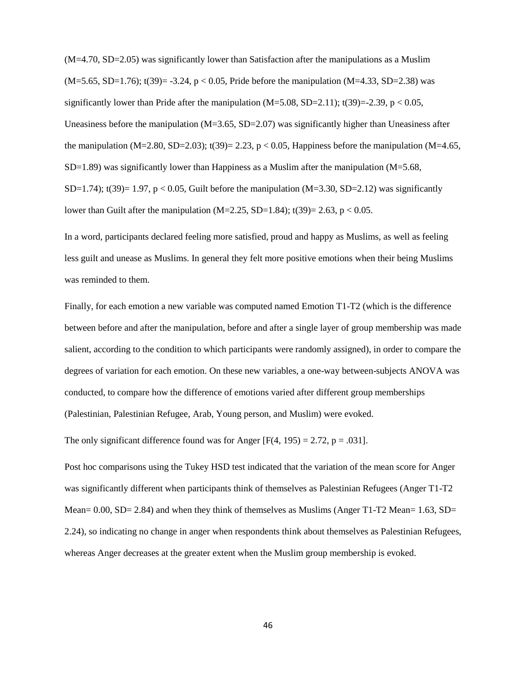(M=4.70, SD=2.05) was significantly lower than Satisfaction after the manipulations as a Muslim  $(M=5.65, SD=1.76)$ ; t(39)= -3.24, p < 0.05, Pride before the manipulation  $(M=4.33, SD=2.38)$  was significantly lower than Pride after the manipulation  $(M=5.08, SD=2.11)$ ; t(39)=-2.39, p < 0.05, Uneasiness before the manipulation  $(M=3.65, SD=2.07)$  was significantly higher than Uneasiness after the manipulation (M=2.80, SD=2.03);  $t(39) = 2.23$ ,  $p < 0.05$ , Happiness before the manipulation (M=4.65,  $SD=1.89$ ) was significantly lower than Happiness as a Muslim after the manipulation (M=5.68, SD=1.74);  $t(39)=1.97$ ,  $p < 0.05$ , Guilt before the manipulation (M=3.30, SD=2.12) was significantly lower than Guilt after the manipulation (M=2.25, SD=1.84);  $t(39)=2.63$ ,  $p < 0.05$ .

In a word, participants declared feeling more satisfied, proud and happy as Muslims, as well as feeling less guilt and unease as Muslims. In general they felt more positive emotions when their being Muslims was reminded to them.

Finally, for each emotion a new variable was computed named Emotion T1-T2 (which is the difference between before and after the manipulation, before and after a single layer of group membership was made salient, according to the condition to which participants were randomly assigned), in order to compare the degrees of variation for each emotion. On these new variables, a one-way between-subjects ANOVA was conducted, to compare how the difference of emotions varied after different group memberships (Palestinian, Palestinian Refugee, Arab, Young person, and Muslim) were evoked.

The only significant difference found was for Anger  $[F(4, 195) = 2.72, p = .031]$ .

Post hoc comparisons using the Tukey HSD test indicated that the variation of the mean score for Anger was significantly different when participants think of themselves as Palestinian Refugees (Anger T1-T2 Mean=  $0.00$ , SD=  $2.84$ ) and when they think of themselves as Muslims (Anger T1-T2 Mean=  $1.63$ , SD= 2.24), so indicating no change in anger when respondents think about themselves as Palestinian Refugees, whereas Anger decreases at the greater extent when the Muslim group membership is evoked.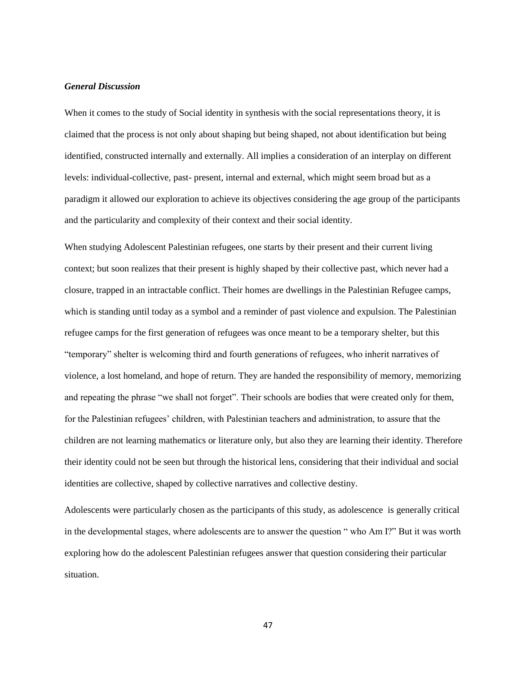#### *General Discussion*

When it comes to the study of Social identity in synthesis with the social representations theory, it is claimed that the process is not only about shaping but being shaped, not about identification but being identified, constructed internally and externally. All implies a consideration of an interplay on different levels: individual-collective, past- present, internal and external, which might seem broad but as a paradigm it allowed our exploration to achieve its objectives considering the age group of the participants and the particularity and complexity of their context and their social identity.

When studying Adolescent Palestinian refugees, one starts by their present and their current living context; but soon realizes that their present is highly shaped by their collective past, which never had a closure, trapped in an intractable conflict. Their homes are dwellings in the Palestinian Refugee camps, which is standing until today as a symbol and a reminder of past violence and expulsion. The Palestinian refugee camps for the first generation of refugees was once meant to be a temporary shelter, but this "temporary" shelter is welcoming third and fourth generations of refugees, who inherit narratives of violence, a lost homeland, and hope of return. They are handed the responsibility of memory, memorizing and repeating the phrase "we shall not forget". Their schools are bodies that were created only for them, for the Palestinian refugees' children, with Palestinian teachers and administration, to assure that the children are not learning mathematics or literature only, but also they are learning their identity. Therefore their identity could not be seen but through the historical lens, considering that their individual and social identities are collective, shaped by collective narratives and collective destiny.

Adolescents were particularly chosen as the participants of this study, as adolescence is generally critical in the developmental stages, where adolescents are to answer the question " who Am I?" But it was worth exploring how do the adolescent Palestinian refugees answer that question considering their particular situation.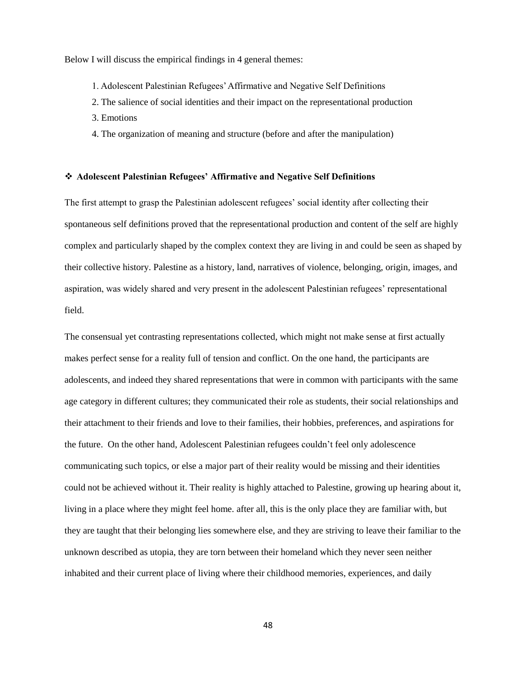Below I will discuss the empirical findings in 4 general themes:

- 1. Adolescent Palestinian Refugees' Affirmative and Negative Self Definitions
- 2. The salience of social identities and their impact on the representational production
- 3. Emotions
- 4. The organization of meaning and structure (before and after the manipulation)

#### **Adolescent Palestinian Refugees' Affirmative and Negative Self Definitions**

The first attempt to grasp the Palestinian adolescent refugees' social identity after collecting their spontaneous self definitions proved that the representational production and content of the self are highly complex and particularly shaped by the complex context they are living in and could be seen as shaped by their collective history. Palestine as a history, land, narratives of violence, belonging, origin, images, and aspiration, was widely shared and very present in the adolescent Palestinian refugees' representational field.

The consensual yet contrasting representations collected, which might not make sense at first actually makes perfect sense for a reality full of tension and conflict. On the one hand, the participants are adolescents, and indeed they shared representations that were in common with participants with the same age category in different cultures; they communicated their role as students, their social relationships and their attachment to their friends and love to their families, their hobbies, preferences, and aspirations for the future. On the other hand, Adolescent Palestinian refugees couldn't feel only adolescence communicating such topics, or else a major part of their reality would be missing and their identities could not be achieved without it. Their reality is highly attached to Palestine, growing up hearing about it, living in a place where they might feel home. after all, this is the only place they are familiar with, but they are taught that their belonging lies somewhere else, and they are striving to leave their familiar to the unknown described as utopia, they are torn between their homeland which they never seen neither inhabited and their current place of living where their childhood memories, experiences, and daily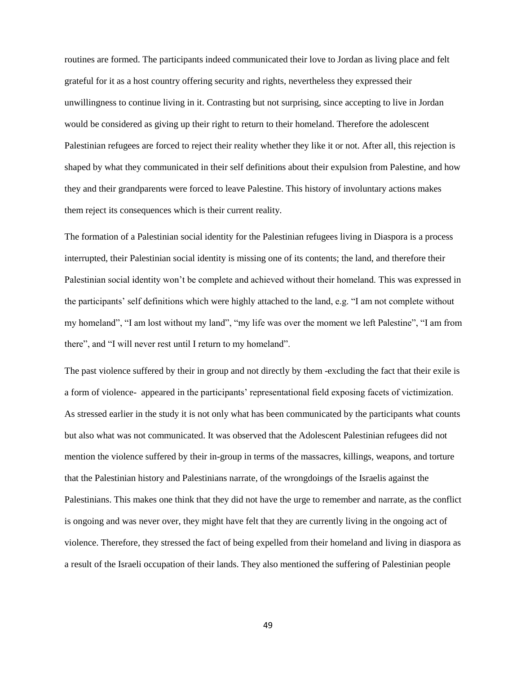routines are formed. The participants indeed communicated their love to Jordan as living place and felt grateful for it as a host country offering security and rights, nevertheless they expressed their unwillingness to continue living in it. Contrasting but not surprising, since accepting to live in Jordan would be considered as giving up their right to return to their homeland. Therefore the adolescent Palestinian refugees are forced to reject their reality whether they like it or not. After all, this rejection is shaped by what they communicated in their self definitions about their expulsion from Palestine, and how they and their grandparents were forced to leave Palestine. This history of involuntary actions makes them reject its consequences which is their current reality.

The formation of a Palestinian social identity for the Palestinian refugees living in Diaspora is a process interrupted, their Palestinian social identity is missing one of its contents; the land, and therefore their Palestinian social identity won't be complete and achieved without their homeland. This was expressed in the participants' self definitions which were highly attached to the land, e.g. "I am not complete without my homeland", "I am lost without my land", "my life was over the moment we left Palestine", "I am from there", and "I will never rest until I return to my homeland".

The past violence suffered by their in group and not directly by them -excluding the fact that their exile is a form of violence- appeared in the participants' representational field exposing facets of victimization. As stressed earlier in the study it is not only what has been communicated by the participants what counts but also what was not communicated. It was observed that the Adolescent Palestinian refugees did not mention the violence suffered by their in-group in terms of the massacres, killings, weapons, and torture that the Palestinian history and Palestinians narrate, of the wrongdoings of the Israelis against the Palestinians. This makes one think that they did not have the urge to remember and narrate, as the conflict is ongoing and was never over, they might have felt that they are currently living in the ongoing act of violence. Therefore, they stressed the fact of being expelled from their homeland and living in diaspora as a result of the Israeli occupation of their lands. They also mentioned the suffering of Palestinian people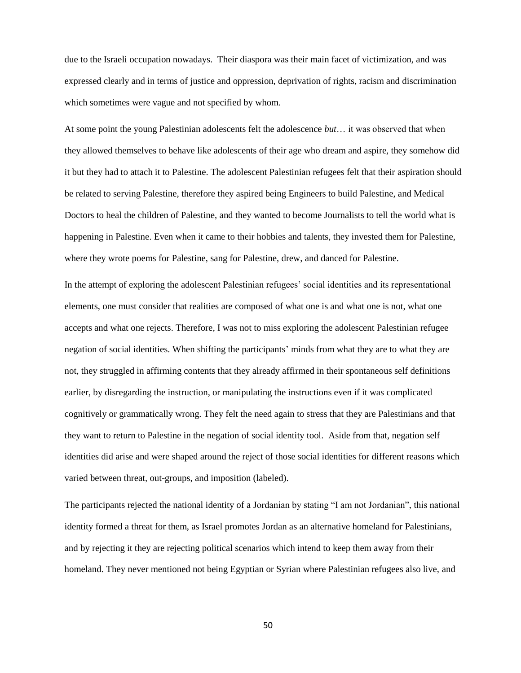due to the Israeli occupation nowadays. Their diaspora was their main facet of victimization, and was expressed clearly and in terms of justice and oppression, deprivation of rights, racism and discrimination which sometimes were vague and not specified by whom.

At some point the young Palestinian adolescents felt the adolescence *but*… it was observed that when they allowed themselves to behave like adolescents of their age who dream and aspire, they somehow did it but they had to attach it to Palestine. The adolescent Palestinian refugees felt that their aspiration should be related to serving Palestine, therefore they aspired being Engineers to build Palestine, and Medical Doctors to heal the children of Palestine, and they wanted to become Journalists to tell the world what is happening in Palestine. Even when it came to their hobbies and talents, they invested them for Palestine, where they wrote poems for Palestine, sang for Palestine, drew, and danced for Palestine.

In the attempt of exploring the adolescent Palestinian refugees' social identities and its representational elements, one must consider that realities are composed of what one is and what one is not, what one accepts and what one rejects. Therefore, I was not to miss exploring the adolescent Palestinian refugee negation of social identities. When shifting the participants' minds from what they are to what they are not, they struggled in affirming contents that they already affirmed in their spontaneous self definitions earlier, by disregarding the instruction, or manipulating the instructions even if it was complicated cognitively or grammatically wrong. They felt the need again to stress that they are Palestinians and that they want to return to Palestine in the negation of social identity tool. Aside from that, negation self identities did arise and were shaped around the reject of those social identities for different reasons which varied between threat, out-groups, and imposition (labeled).

The participants rejected the national identity of a Jordanian by stating "I am not Jordanian", this national identity formed a threat for them, as Israel promotes Jordan as an alternative homeland for Palestinians, and by rejecting it they are rejecting political scenarios which intend to keep them away from their homeland. They never mentioned not being Egyptian or Syrian where Palestinian refugees also live, and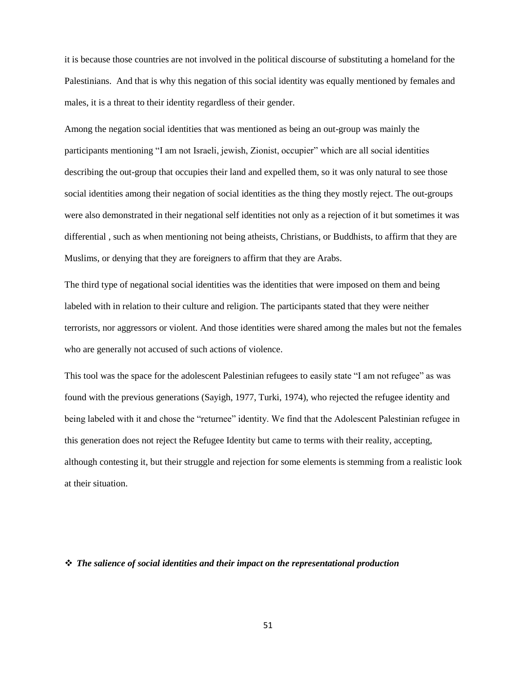it is because those countries are not involved in the political discourse of substituting a homeland for the Palestinians. And that is why this negation of this social identity was equally mentioned by females and males, it is a threat to their identity regardless of their gender.

Among the negation social identities that was mentioned as being an out-group was mainly the participants mentioning "I am not Israeli, jewish, Zionist, occupier" which are all social identities describing the out-group that occupies their land and expelled them, so it was only natural to see those social identities among their negation of social identities as the thing they mostly reject. The out-groups were also demonstrated in their negational self identities not only as a rejection of it but sometimes it was differential , such as when mentioning not being atheists, Christians, or Buddhists, to affirm that they are Muslims, or denying that they are foreigners to affirm that they are Arabs.

The third type of negational social identities was the identities that were imposed on them and being labeled with in relation to their culture and religion. The participants stated that they were neither terrorists, nor aggressors or violent. And those identities were shared among the males but not the females who are generally not accused of such actions of violence.

This tool was the space for the adolescent Palestinian refugees to easily state "I am not refugee" as was found with the previous generations (Sayigh, 1977, Turki, 1974), who rejected the refugee identity and being labeled with it and chose the "returnee" identity. We find that the Adolescent Palestinian refugee in this generation does not reject the Refugee Identity but came to terms with their reality, accepting, although contesting it, but their struggle and rejection for some elements is stemming from a realistic look at their situation.

#### *The salience of social identities and their impact on the representational production*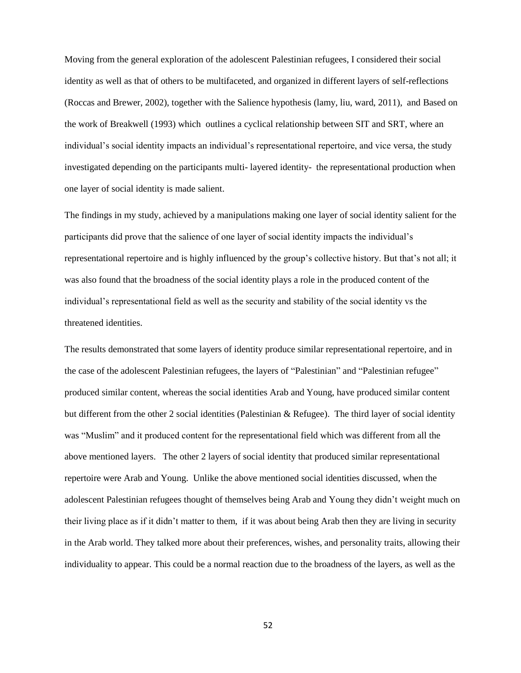Moving from the general exploration of the adolescent Palestinian refugees, I considered their social identity as well as that of others to be multifaceted, and organized in different layers of self-reflections (Roccas and Brewer, 2002), together with the Salience hypothesis (lamy, liu, ward, 2011), and Based on the work of Breakwell (1993) which outlines a cyclical relationship between SIT and SRT, where an individual's social identity impacts an individual's representational repertoire, and vice versa, the study investigated depending on the participants multi- layered identity- the representational production when one layer of social identity is made salient.

The findings in my study, achieved by a manipulations making one layer of social identity salient for the participants did prove that the salience of one layer of social identity impacts the individual's representational repertoire and is highly influenced by the group's collective history. But that's not all; it was also found that the broadness of the social identity plays a role in the produced content of the individual's representational field as well as the security and stability of the social identity vs the threatened identities.

The results demonstrated that some layers of identity produce similar representational repertoire, and in the case of the adolescent Palestinian refugees, the layers of "Palestinian" and "Palestinian refugee" produced similar content, whereas the social identities Arab and Young, have produced similar content but different from the other 2 social identities (Palestinian & Refugee). The third layer of social identity was "Muslim" and it produced content for the representational field which was different from all the above mentioned layers. The other 2 layers of social identity that produced similar representational repertoire were Arab and Young. Unlike the above mentioned social identities discussed, when the adolescent Palestinian refugees thought of themselves being Arab and Young they didn't weight much on their living place as if it didn't matter to them, if it was about being Arab then they are living in security in the Arab world. They talked more about their preferences, wishes, and personality traits, allowing their individuality to appear. This could be a normal reaction due to the broadness of the layers, as well as the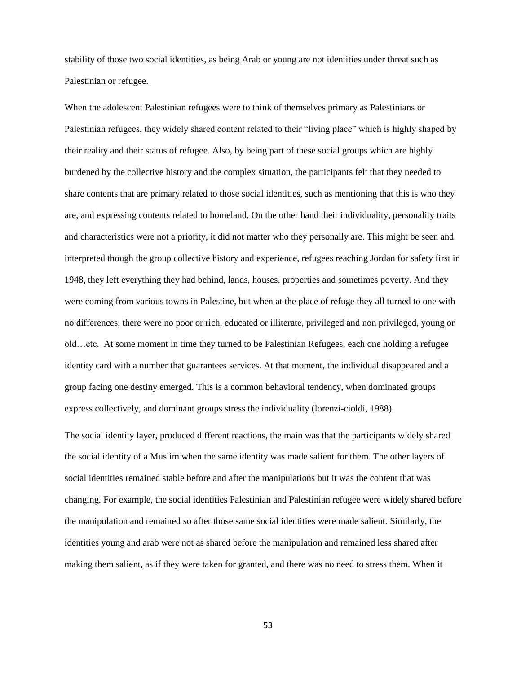stability of those two social identities, as being Arab or young are not identities under threat such as Palestinian or refugee.

When the adolescent Palestinian refugees were to think of themselves primary as Palestinians or Palestinian refugees, they widely shared content related to their "living place" which is highly shaped by their reality and their status of refugee. Also, by being part of these social groups which are highly burdened by the collective history and the complex situation, the participants felt that they needed to share contents that are primary related to those social identities, such as mentioning that this is who they are, and expressing contents related to homeland. On the other hand their individuality, personality traits and characteristics were not a priority, it did not matter who they personally are. This might be seen and interpreted though the group collective history and experience, refugees reaching Jordan for safety first in 1948, they left everything they had behind, lands, houses, properties and sometimes poverty. And they were coming from various towns in Palestine, but when at the place of refuge they all turned to one with no differences, there were no poor or rich, educated or illiterate, privileged and non privileged, young or old…etc. At some moment in time they turned to be Palestinian Refugees, each one holding a refugee identity card with a number that guarantees services. At that moment, the individual disappeared and a group facing one destiny emerged. This is a common behavioral tendency, when dominated groups express collectively, and dominant groups stress the individuality (lorenzi-cioldi, 1988).

The social identity layer, produced different reactions, the main was that the participants widely shared the social identity of a Muslim when the same identity was made salient for them. The other layers of social identities remained stable before and after the manipulations but it was the content that was changing. For example, the social identities Palestinian and Palestinian refugee were widely shared before the manipulation and remained so after those same social identities were made salient. Similarly, the identities young and arab were not as shared before the manipulation and remained less shared after making them salient, as if they were taken for granted, and there was no need to stress them. When it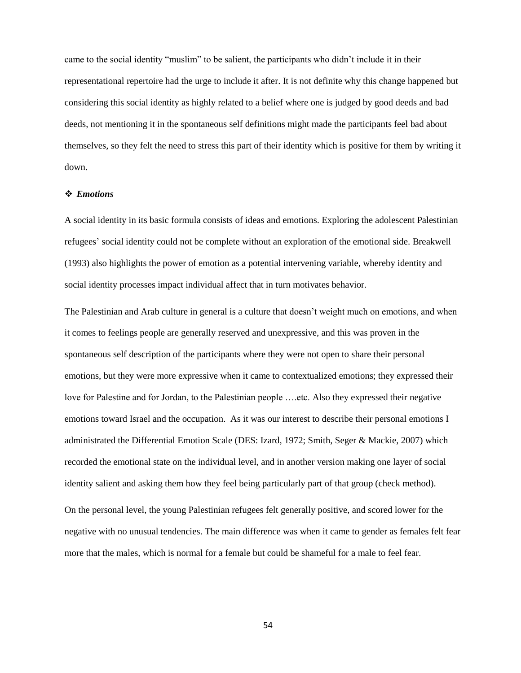came to the social identity "muslim" to be salient, the participants who didn't include it in their representational repertoire had the urge to include it after. It is not definite why this change happened but considering this social identity as highly related to a belief where one is judged by good deeds and bad deeds, not mentioning it in the spontaneous self definitions might made the participants feel bad about themselves, so they felt the need to stress this part of their identity which is positive for them by writing it down.

#### *Emotions*

A social identity in its basic formula consists of ideas and emotions. Exploring the adolescent Palestinian refugees' social identity could not be complete without an exploration of the emotional side. Breakwell (1993) also highlights the power of emotion as a potential intervening variable, whereby identity and social identity processes impact individual affect that in turn motivates behavior.

The Palestinian and Arab culture in general is a culture that doesn't weight much on emotions, and when it comes to feelings people are generally reserved and unexpressive, and this was proven in the spontaneous self description of the participants where they were not open to share their personal emotions, but they were more expressive when it came to contextualized emotions; they expressed their love for Palestine and for Jordan, to the Palestinian people ….etc. Also they expressed their negative emotions toward Israel and the occupation. As it was our interest to describe their personal emotions I administrated the Differential Emotion Scale (DES: Izard, 1972; Smith, Seger & Mackie, 2007) which recorded the emotional state on the individual level, and in another version making one layer of social identity salient and asking them how they feel being particularly part of that group (check method).

On the personal level, the young Palestinian refugees felt generally positive, and scored lower for the negative with no unusual tendencies. The main difference was when it came to gender as females felt fear more that the males, which is normal for a female but could be shameful for a male to feel fear.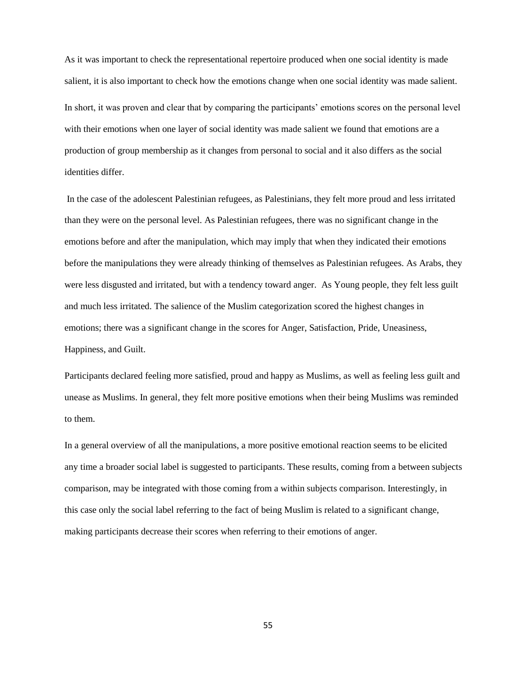As it was important to check the representational repertoire produced when one social identity is made salient, it is also important to check how the emotions change when one social identity was made salient. In short, it was proven and clear that by comparing the participants' emotions scores on the personal level with their emotions when one layer of social identity was made salient we found that emotions are a production of group membership as it changes from personal to social and it also differs as the social identities differ.

In the case of the adolescent Palestinian refugees, as Palestinians, they felt more proud and less irritated than they were on the personal level. As Palestinian refugees, there was no significant change in the emotions before and after the manipulation, which may imply that when they indicated their emotions before the manipulations they were already thinking of themselves as Palestinian refugees. As Arabs, they were less disgusted and irritated, but with a tendency toward anger. As Young people, they felt less guilt and much less irritated. The salience of the Muslim categorization scored the highest changes in emotions; there was a significant change in the scores for Anger, Satisfaction, Pride, Uneasiness, Happiness, and Guilt.

Participants declared feeling more satisfied, proud and happy as Muslims, as well as feeling less guilt and unease as Muslims. In general, they felt more positive emotions when their being Muslims was reminded to them.

In a general overview of all the manipulations, a more positive emotional reaction seems to be elicited any time a broader social label is suggested to participants. These results, coming from a between subjects comparison, may be integrated with those coming from a within subjects comparison. Interestingly, in this case only the social label referring to the fact of being Muslim is related to a significant change, making participants decrease their scores when referring to their emotions of anger.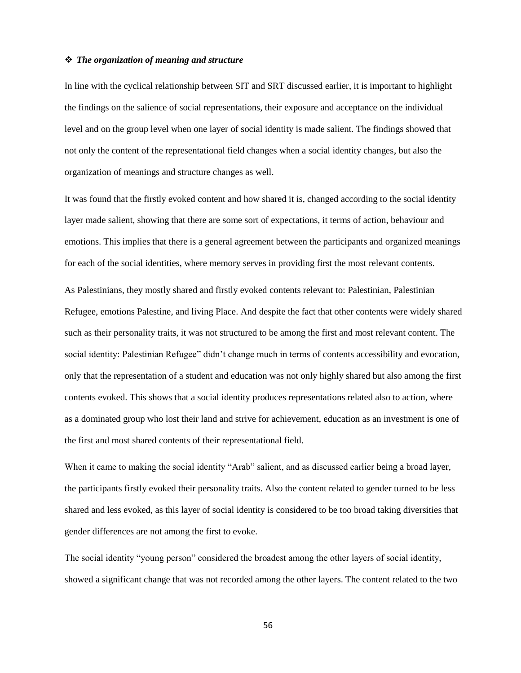#### *The organization of meaning and structure*

In line with the cyclical relationship between SIT and SRT discussed earlier, it is important to highlight the findings on the salience of social representations, their exposure and acceptance on the individual level and on the group level when one layer of social identity is made salient. The findings showed that not only the content of the representational field changes when a social identity changes, but also the organization of meanings and structure changes as well.

It was found that the firstly evoked content and how shared it is, changed according to the social identity layer made salient, showing that there are some sort of expectations, it terms of action, behaviour and emotions. This implies that there is a general agreement between the participants and organized meanings for each of the social identities, where memory serves in providing first the most relevant contents.

As Palestinians, they mostly shared and firstly evoked contents relevant to: Palestinian, Palestinian Refugee, emotions Palestine, and living Place. And despite the fact that other contents were widely shared such as their personality traits, it was not structured to be among the first and most relevant content. The social identity: Palestinian Refugee" didn't change much in terms of contents accessibility and evocation, only that the representation of a student and education was not only highly shared but also among the first contents evoked. This shows that a social identity produces representations related also to action, where as a dominated group who lost their land and strive for achievement, education as an investment is one of the first and most shared contents of their representational field.

When it came to making the social identity "Arab" salient, and as discussed earlier being a broad layer, the participants firstly evoked their personality traits. Also the content related to gender turned to be less shared and less evoked, as this layer of social identity is considered to be too broad taking diversities that gender differences are not among the first to evoke.

The social identity "young person" considered the broadest among the other layers of social identity, showed a significant change that was not recorded among the other layers. The content related to the two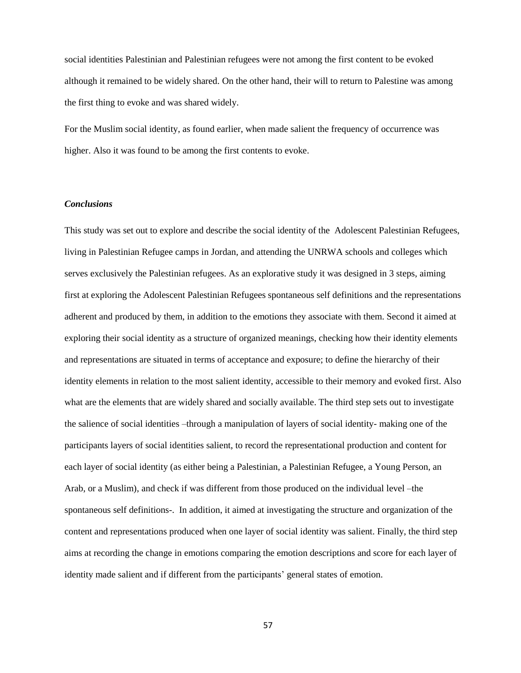social identities Palestinian and Palestinian refugees were not among the first content to be evoked although it remained to be widely shared. On the other hand, their will to return to Palestine was among the first thing to evoke and was shared widely.

For the Muslim social identity, as found earlier, when made salient the frequency of occurrence was higher. Also it was found to be among the first contents to evoke.

#### *Conclusions*

This study was set out to explore and describe the social identity of the Adolescent Palestinian Refugees, living in Palestinian Refugee camps in Jordan, and attending the UNRWA schools and colleges which serves exclusively the Palestinian refugees. As an explorative study it was designed in 3 steps, aiming first at exploring the Adolescent Palestinian Refugees spontaneous self definitions and the representations adherent and produced by them, in addition to the emotions they associate with them. Second it aimed at exploring their social identity as a structure of organized meanings, checking how their identity elements and representations are situated in terms of acceptance and exposure; to define the hierarchy of their identity elements in relation to the most salient identity, accessible to their memory and evoked first. Also what are the elements that are widely shared and socially available. The third step sets out to investigate the salience of social identities –through a manipulation of layers of social identity- making one of the participants layers of social identities salient, to record the representational production and content for each layer of social identity (as either being a Palestinian, a Palestinian Refugee, a Young Person, an Arab, or a Muslim), and check if was different from those produced on the individual level –the spontaneous self definitions-. In addition, it aimed at investigating the structure and organization of the content and representations produced when one layer of social identity was salient. Finally, the third step aims at recording the change in emotions comparing the emotion descriptions and score for each layer of identity made salient and if different from the participants' general states of emotion.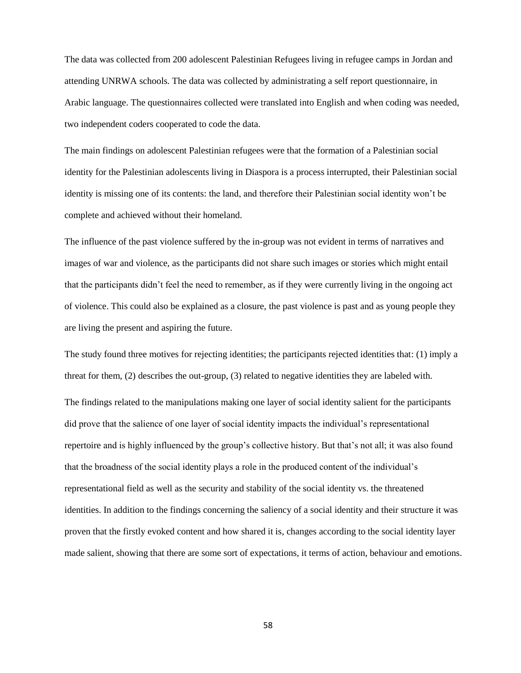The data was collected from 200 adolescent Palestinian Refugees living in refugee camps in Jordan and attending UNRWA schools. The data was collected by administrating a self report questionnaire, in Arabic language. The questionnaires collected were translated into English and when coding was needed, two independent coders cooperated to code the data.

The main findings on adolescent Palestinian refugees were that the formation of a Palestinian social identity for the Palestinian adolescents living in Diaspora is a process interrupted, their Palestinian social identity is missing one of its contents: the land, and therefore their Palestinian social identity won't be complete and achieved without their homeland.

The influence of the past violence suffered by the in-group was not evident in terms of narratives and images of war and violence, as the participants did not share such images or stories which might entail that the participants didn't feel the need to remember, as if they were currently living in the ongoing act of violence. This could also be explained as a closure, the past violence is past and as young people they are living the present and aspiring the future.

The study found three motives for rejecting identities; the participants rejected identities that: (1) imply a threat for them, (2) describes the out-group, (3) related to negative identities they are labeled with. The findings related to the manipulations making one layer of social identity salient for the participants did prove that the salience of one layer of social identity impacts the individual's representational repertoire and is highly influenced by the group's collective history. But that's not all; it was also found that the broadness of the social identity plays a role in the produced content of the individual's representational field as well as the security and stability of the social identity vs. the threatened identities. In addition to the findings concerning the saliency of a social identity and their structure it was proven that the firstly evoked content and how shared it is, changes according to the social identity layer made salient, showing that there are some sort of expectations, it terms of action, behaviour and emotions.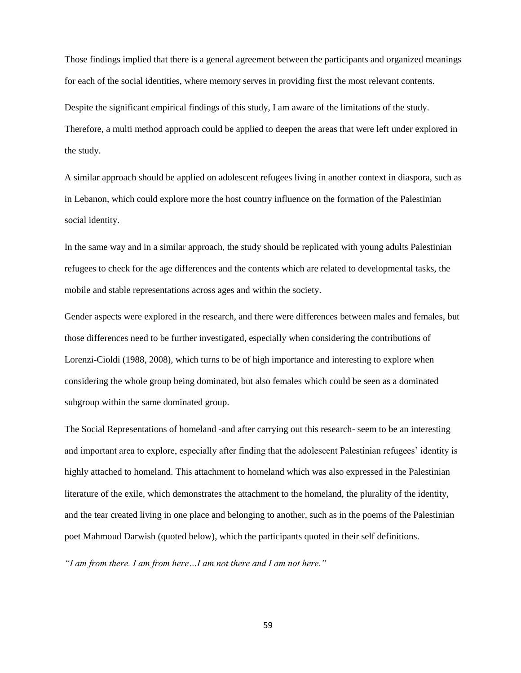Those findings implied that there is a general agreement between the participants and organized meanings for each of the social identities, where memory serves in providing first the most relevant contents.

Despite the significant empirical findings of this study, I am aware of the limitations of the study. Therefore, a multi method approach could be applied to deepen the areas that were left under explored in the study.

A similar approach should be applied on adolescent refugees living in another context in diaspora, such as in Lebanon, which could explore more the host country influence on the formation of the Palestinian social identity.

In the same way and in a similar approach, the study should be replicated with young adults Palestinian refugees to check for the age differences and the contents which are related to developmental tasks, the mobile and stable representations across ages and within the society.

Gender aspects were explored in the research, and there were differences between males and females, but those differences need to be further investigated, especially when considering the contributions of Lorenzi-Cioldi (1988, 2008), which turns to be of high importance and interesting to explore when considering the whole group being dominated, but also females which could be seen as a dominated subgroup within the same dominated group.

The Social Representations of homeland -and after carrying out this research- seem to be an interesting and important area to explore, especially after finding that the adolescent Palestinian refugees' identity is highly attached to homeland. This attachment to homeland which was also expressed in the Palestinian literature of the exile, which demonstrates the attachment to the homeland, the plurality of the identity, and the tear created living in one place and belonging to another, such as in the poems of the Palestinian poet Mahmoud Darwish (quoted below), which the participants quoted in their self definitions.

*"I am from there. I am from here…I am not there and I am not here."*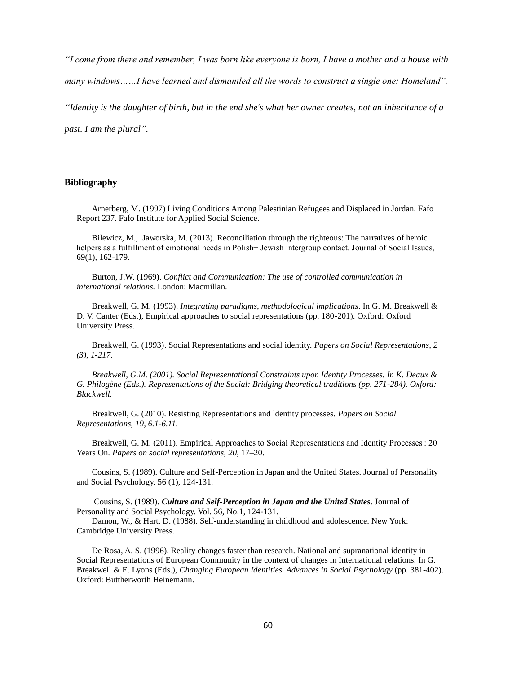*"I come from there and remember, I was born like everyone is born, I have a mother and a house with many windows……I have learned and dismantled all the words to construct a single one: Homeland".*

*"Identity is the daughter of birth, but in the end she's what her owner creates, not an inheritance of a* 

*past. I am the plural".*

#### **Bibliography**

Arnerberg, M. (1997) Living Conditions Among Palestinian Refugees and Displaced in Jordan. Fafo Report 237. Fafo Institute for Applied Social Science.

Bilewicz, M., Jaworska, M. (2013). Reconciliation through the righteous: The narratives of heroic helpers as a fulfillment of emotional needs in Polish− Jewish intergroup contact. Journal of Social Issues, 69(1), 162-179.

Burton, J.W. (1969). *Conflict and Communication: The use of controlled communication in international relations.* London: Macmillan.

Breakwell, G. M. (1993). *Integrating paradigms, methodological implications*. In G. M. Breakwell & D. V. Canter (Eds.), Empirical approaches to social representations (pp. 180-201). Oxford: Oxford University Press.

Breakwell, G. (1993). Social Representations and social identity. *Papers on Social Representations, 2 (3), 1-217.*

*Breakwell, G.M. (2001). Social Representational Constraints upon Identity Processes. In K. Deaux & G. Philogène (Eds.). Representations of the Social: Bridging theoretical traditions (pp. 271-284). Oxford: Blackwell.*

Breakwell, G. (2010). Resisting Representations and ldentity processes. *Papers on Social Representations, 19, 6.1-6.11.* 

Breakwell, G. M. (2011). Empirical Approaches to Social Representations and Identity Processes : 20 Years On. *Papers on social representations*, *20*, 17–20.

Cousins, S. (1989). Culture and Self-Perception in Japan and the United States. Journal of Personality and Social Psychology. 56 (1), 124-131.

Cousins, S. (1989). *Culture and Self-Perception in Japan and the United States*. Journal of Personality and Social Psychology. Vol. 56, No.1, 124-131.

Damon, W., & Hart, D. (1988). Self-understanding in childhood and adolescence. New York: Cambridge University Press.

De Rosa, A. S. (1996). Reality changes faster than research. National and supranational identity in Social Representations of European Community in the context of changes in International relations. In G. Breakwell & E. Lyons (Eds.), *Changing European Identities. Advances in Social Psychology* (pp. 381-402). Oxford: Buttherworth Heinemann.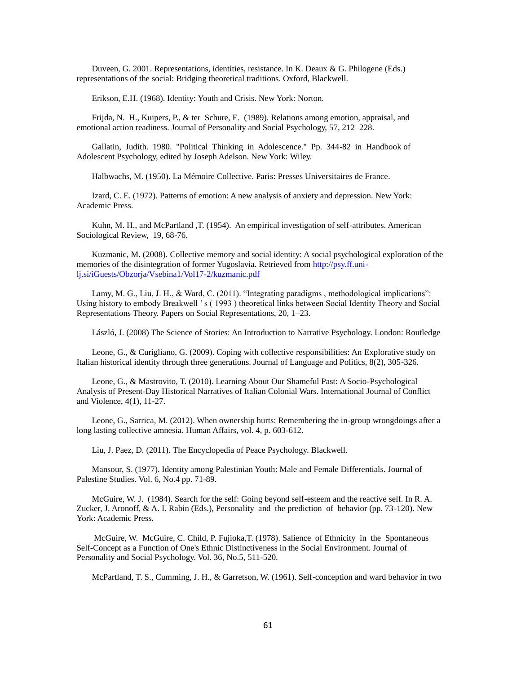Duveen, G. 2001. Representations, identities, resistance. In K. Deaux & G. Philogene (Eds.) representations of the social: Bridging theoretical traditions. Oxford, Blackwell.

Erikson, E.H. (1968). Identity: Youth and Crisis. New York: Norton.

Frijda, N. H., Kuipers, P., & ter Schure, E. (1989). Relations among emotion, appraisal, and emotional action readiness. Journal of Personality and Social Psychology, 57, 212–228.

Gallatin, Judith. 1980. "Political Thinking in Adolescence." Pp. 344-82 in Handbook of Adolescent Psychology, edited by Joseph Adelson. New York: Wiley.

Halbwachs, M. (1950). La Mémoire Collective. Paris[: Presses Universitaires de France.](http://en.wikipedia.org/wiki/Presses_Universitaires_de_France)

Izard, C. E. (1972). Patterns of emotion: A new analysis of anxiety and depression. New York: Academic Press.

Kuhn, M. H., and McPartland ,T. (1954). An empirical investigation of self-attributes. American Sociological Review, 19, 68-76.

Kuzmanic, M. (2008). Collective memory and social identity: A social psychological exploration of the memories of the disintegration of former Yugoslavia. Retrieved from [http://psy.ff.uni](http://psy.ff.uni-lj.si/iGuests/Obzorja/Vsebina1/Vol17-2/kuzmanic.pdf)[lj.si/iGuests/Obzorja/Vsebina1/Vol17-2/kuzmanic.pdf](http://psy.ff.uni-lj.si/iGuests/Obzorja/Vsebina1/Vol17-2/kuzmanic.pdf)

Lamy, M. G., Liu, J. H., & Ward, C. (2011). "Integrating paradigms , methodological implications": Using history to embody Breakwell ' s ( 1993 ) theoretical links between Social Identity Theory and Social Representations Theory. Papers on Social Representations, 20, 1–23.

László, J. (2008) The Science of Stories: An Introduction to Narrative Psychology. London: Routledge

Leone, G., & Curigliano, G. (2009). Coping with collective responsibilities: An Explorative study on Italian historical identity through three generations. Journal of Language and Politics, 8(2), 305-326.

Leone, G., & Mastrovito, T. (2010). Learning About Our Shameful Past: A Socio-Psychological Analysis of Present-Day Historical Narratives of Italian Colonial Wars. International Journal of Conflict and Violence, 4(1), 11-27.

Leone, G., Sarrica, M. (2012). When ownership hurts: Remembering the in-group wrongdoings after a long lasting collective amnesia. Human Affairs, vol. 4, p. 603-612.

Liu, J. Paez, D. (2011). The Encyclopedia of Peace Psychology. Blackwell.

Mansour, S. (1977). Identity among Palestinian Youth: Male and Female Differentials. Journal of Palestine Studies. Vol. 6, No.4 pp. 71-89.

McGuire, W. J. (1984). Search for the self: Going beyond self-esteem and the reactive self. In R. A. Zucker, J. Aronoff, & A. I. Rabin (Eds.), Personality and the prediction of behavior (pp. 73-120). New York: Academic Press.

McGuire, W. McGuire, C. Child, P. Fujioka,T. (1978). Salience of Ethnicity in the Spontaneous Self-Concept as a Function of One's Ethnic Distinctiveness in the Social Environment. Journal of Personality and Social Psychology. Vol. 36, No.5, 511-520.

McPartland, T. S., Cumming, J. H., & Garretson, W. (1961). Self-conception and ward behavior in two